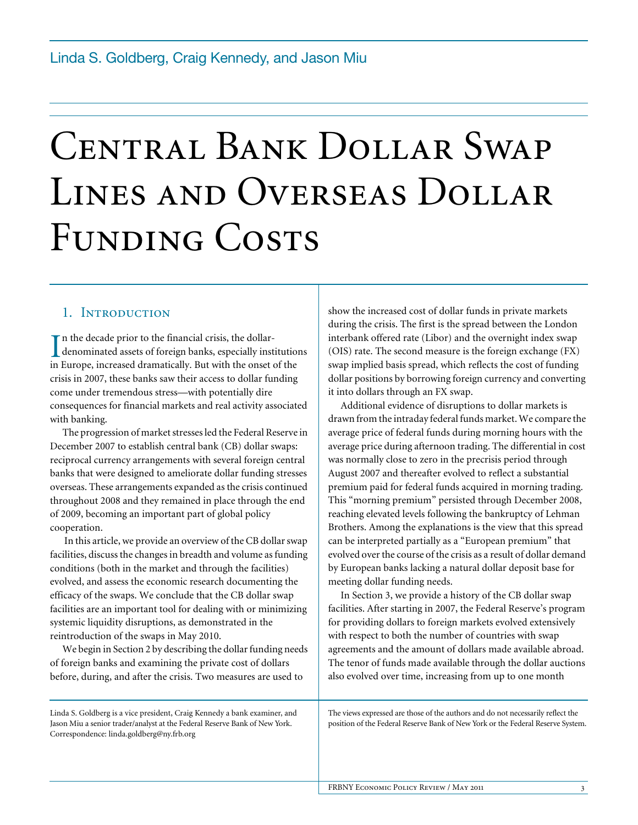# Central Bank Dollar Swap Lines and Overseas Dollar FUNDING COSTS

## 1. INTRODUCTION

 $\mathbf{T}$  n the decade prior to the financial crisis, the dollar-In the decade prior to the financial crisis, the dollar-<br>denominated assets of foreign banks, especially institutions<br>in Europe, increased dramatically. But with the onest of the in Europe, increased dramatically. But with the onset of the crisis in 2007, these banks saw their access to dollar funding come under tremendous stress—with potentially dire consequences for financial markets and real activity associated with banking.

The progression of market stresses led the Federal Reserve in December 2007 to establish central bank (CB) dollar swaps: reciprocal currency arrangements with several foreign central banks that were designed to ameliorate dollar funding stresses overseas. These arrangements expanded as the crisis continued throughout 2008 and they remained in place through the end of 2009, becoming an important part of global policy cooperation.

 In this article, we provide an overview of the CB dollar swap facilities, discuss the changes in breadth and volume as funding conditions (both in the market and through the facilities) evolved, and assess the economic research documenting the efficacy of the swaps. We conclude that the CB dollar swap facilities are an important tool for dealing with or minimizing systemic liquidity disruptions, as demonstrated in the reintroduction of the swaps in May 2010.

We begin in Section 2 by describing the dollar funding needs of foreign banks and examining the private cost of dollars before, during, and after the crisis. Two measures are used to

Linda S. Goldberg is a vice president, Craig Kennedy a bank examiner, and Jason Miu a senior trader/analyst at the Federal Reserve Bank of New York. Correspondence: linda.goldberg@ny.frb.org

show the increased cost of dollar funds in private markets during the crisis. The first is the spread between the London interbank offered rate (Libor) and the overnight index swap (OIS) rate. The second measure is the foreign exchange (FX) swap implied basis spread, which reflects the cost of funding dollar positions by borrowing foreign currency and converting it into dollars through an FX swap.

Additional evidence of disruptions to dollar markets is drawn from the intraday federal funds market. We compare the average price of federal funds during morning hours with the average price during afternoon trading. The differential in cost was normally close to zero in the precrisis period through August 2007 and thereafter evolved to reflect a substantial premium paid for federal funds acquired in morning trading. This "morning premium" persisted through December 2008, reaching elevated levels following the bankruptcy of Lehman Brothers. Among the explanations is the view that this spread can be interpreted partially as a "European premium" that evolved over the course of the crisis as a result of dollar demand by European banks lacking a natural dollar deposit base for meeting dollar funding needs.

In Section 3, we provide a history of the CB dollar swap facilities. After starting in 2007, the Federal Reserve's program for providing dollars to foreign markets evolved extensively with respect to both the number of countries with swap agreements and the amount of dollars made available abroad. The tenor of funds made available through the dollar auctions also evolved over time, increasing from up to one month

The views expressed are those of the authors and do not necessarily reflect the position of the Federal Reserve Bank of New York or the Federal Reserve System.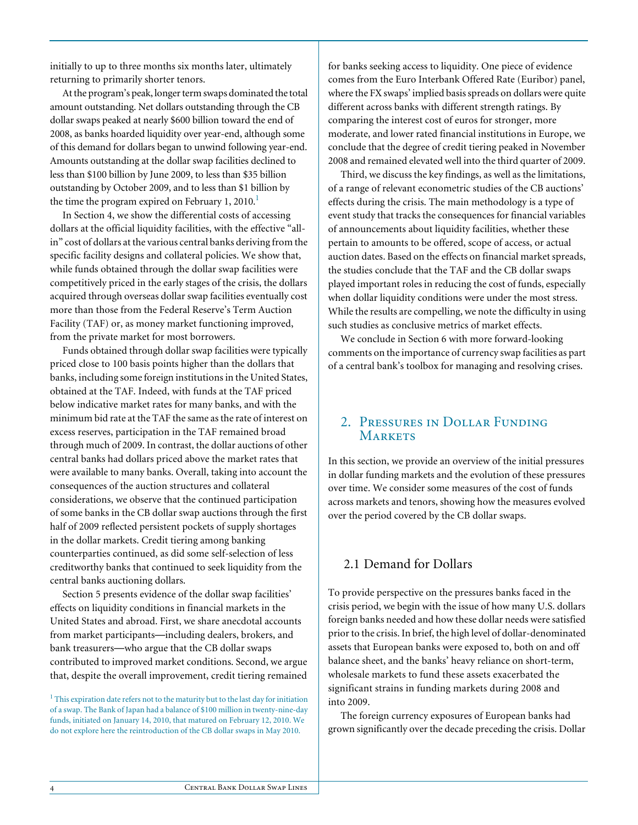initially to up to three months six months later, ultimately returning to primarily shorter tenors.

At the program's peak, longer term swaps dominated the total amount outstanding. Net dollars outstanding through the CB dollar swaps peaked at nearly \$600 billion toward the end of 2008, as banks hoarded liquidity over year-end, although some of this demand for dollars began to unwind following year-end. Amounts outstanding at the dollar swap facilities declined to less than \$100 billion by June 2009, to less than \$35 billion outstanding by October 2009, and to less than \$1 billion by the time the program expired on February 1, 2010. $<sup>1</sup>$ </sup>

In Section 4, we show the differential costs of accessing dollars at the official liquidity facilities, with the effective "allin" cost of dollars at the various central banks deriving from the specific facility designs and collateral policies. We show that, while funds obtained through the dollar swap facilities were competitively priced in the early stages of the crisis, the dollars acquired through overseas dollar swap facilities eventually cost more than those from the Federal Reserve's Term Auction Facility (TAF) or, as money market functioning improved, from the private market for most borrowers.

Funds obtained through dollar swap facilities were typically priced close to 100 basis points higher than the dollars that banks, including some foreign institutions in the United States, obtained at the TAF. Indeed, with funds at the TAF priced below indicative market rates for many banks, and with the minimum bid rate at the TAF the same as the rate of interest on excess reserves, participation in the TAF remained broad through much of 2009. In contrast, the dollar auctions of other central banks had dollars priced above the market rates that were available to many banks. Overall, taking into account the consequences of the auction structures and collateral considerations, we observe that the continued participation of some banks in the CB dollar swap auctions through the first half of 2009 reflected persistent pockets of supply shortages in the dollar markets. Credit tiering among banking counterparties continued, as did some self-selection of less creditworthy banks that continued to seek liquidity from the central banks auctioning dollars.

Section 5 presents evidence of the dollar swap facilities' effects on liquidity conditions in financial markets in the United States and abroad. First, we share anecdotal accounts from market participants—including dealers, brokers, and bank treasurers—who argue that the CB dollar swaps contributed to improved market conditions. Second, we argue that, despite the overall improvement, credit tiering remained for banks seeking access to liquidity. One piece of evidence comes from the Euro Interbank Offered Rate (Euribor) panel, where the FX swaps' implied basis spreads on dollars were quite different across banks with different strength ratings. By comparing the interest cost of euros for stronger, more moderate, and lower rated financial institutions in Europe, we conclude that the degree of credit tiering peaked in November 2008 and remained elevated well into the third quarter of 2009.

Third, we discuss the key findings, as well as the limitations, of a range of relevant econometric studies of the CB auctions' effects during the crisis. The main methodology is a type of event study that tracks the consequences for financial variables of announcements about liquidity facilities, whether these pertain to amounts to be offered, scope of access, or actual auction dates. Based on the effects on financial market spreads, the studies conclude that the TAF and the CB dollar swaps played important roles in reducing the cost of funds, especially when dollar liquidity conditions were under the most stress. While the results are compelling, we note the difficulty in using such studies as conclusive metrics of market effects.

We conclude in Section 6 with more forward-looking comments on the importance of currency swap facilities as part of a central bank's toolbox for managing and resolving crises.

## 2. Pressures in Dollar Funding **MARKETS**

In this section, we provide an overview of the initial pressures in dollar funding markets and the evolution of these pressures over time. We consider some measures of the cost of funds across markets and tenors, showing how the measures evolved over the period covered by the CB dollar swaps.

## 2.1 Demand for Dollars

To provide perspective on the pressures banks faced in the crisis period, we begin with the issue of how many U.S. dollars foreign banks needed and how these dollar needs were satisfied prior to the crisis.In brief, the high level of dollar-denominated assets that European banks were exposed to, both on and off balance sheet, and the banks' heavy reliance on short-term, wholesale markets to fund these assets exacerbated the significant strains in funding markets during 2008 and into 2009.

The foreign currency exposures of European banks had grown significantly over the decade preceding the crisis. Dollar

 $<sup>1</sup>$  This expiration date refers not to the maturity but to the last day for initiation</sup> of a swap. The Bank of Japan had a balance of \$100 million in twenty-nine-day funds, initiated on January 14, 2010, that matured on February 12, 2010. We do not explore here the reintroduction of the CB dollar swaps in May 2010.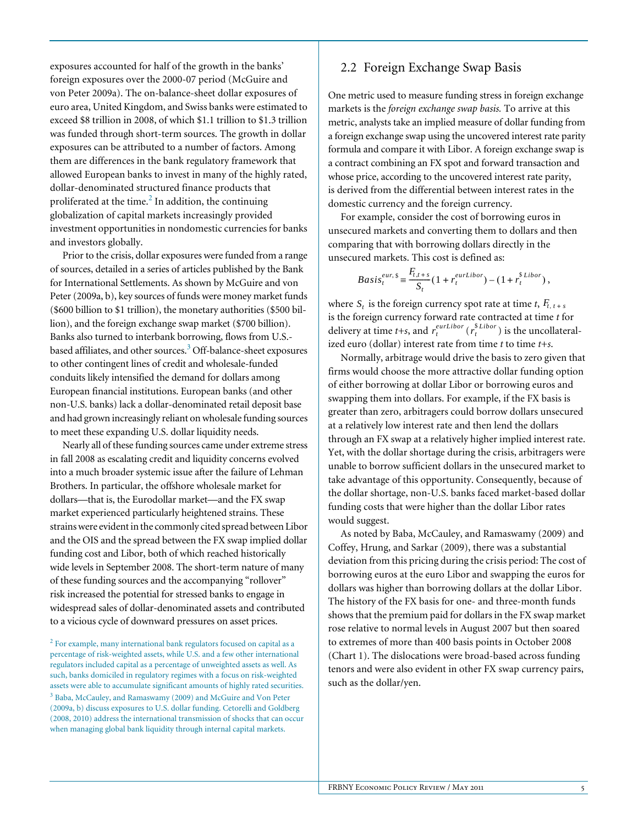exposures accounted for half of the growth in the banks' foreign exposures over the 2000-07 period (McGuire and von Peter 2009a). The on-balance-sheet dollar exposures of euro area, United Kingdom, and Swiss banks were estimated to exceed \$8 trillion in 2008, of which \$1.1 trillion to \$1.3 trillion was funded through short-term sources. The growth in dollar exposures can be attributed to a number of factors. Among them are differences in the bank regulatory framework that allowed European banks to invest in many of the highly rated, dollar-denominated structured finance products that proliferated at the time. $^2$  In addition, the continuing globalization of capital markets increasingly provided investment opportunities in nondomestic currencies for banks and investors globally.

Prior to the crisis, dollar exposures were funded from a range of sources, detailed in a series of articles published by the Bank for International Settlements. As shown by McGuire and von Peter (2009a, b), key sources of funds were money market funds (\$600 billion to \$1 trillion), the monetary authorities (\$500 billion), and the foreign exchange swap market (\$700 billion). Banks also turned to interbank borrowing, flows from U.S. based affiliates, and other sources.<sup>3</sup> Off-balance-sheet exposures to other contingent lines of credit and wholesale-funded conduits likely intensified the demand for dollars among European financial institutions. European banks (and other non-U.S. banks) lack a dollar-denominated retail deposit base and had grown increasingly reliant on wholesale funding sources to meet these expanding U.S. dollar liquidity needs.

Nearly all of these funding sources came under extreme stress in fall 2008 as escalating credit and liquidity concerns evolved into a much broader systemic issue after the failure of Lehman Brothers. In particular, the offshore wholesale market for dollars—that is, the Eurodollar market—and the FX swap market experienced particularly heightened strains. These strains were evident in the commonly cited spread between Libor and the OIS and the spread between the FX swap implied dollar funding cost and Libor, both of which reached historically wide levels in September 2008. The short-term nature of many of these funding sources and the accompanying "rollover" risk increased the potential for stressed banks to engage in widespread sales of dollar-denominated assets and contributed to a vicious cycle of downward pressures on asset prices.

 $2^{2}$  For example, many international bank regulators focused on capital as a percentage of risk-weighted assets, while U.S. and a few other international regulators included capital as a percentage of unweighted assets as well. As such, banks domiciled in regulatory regimes with a focus on risk-weighted assets were able to accumulate significant amounts of highly rated securities. <sup>3</sup> Baba, McCauley, and Ramaswamy (2009) and McGuire and Von Peter (2009a, b) discuss exposures to U.S. dollar funding. Cetorelli and Goldberg (2008, 2010) address the international transmission of shocks that can occur when managing global bank liquidity through internal capital markets.

## 2.2 Foreign Exchange Swap Basis

One metric used to measure funding stress in foreign exchange markets is the *foreign exchange swap basis.* To arrive at this metric, analysts take an implied measure of dollar funding from a foreign exchange swap using the uncovered interest rate parity formula and compare it with Libor. A foreign exchange swap is a contract combining an FX spot and forward transaction and whose price, according to the uncovered interest rate parity, is derived from the differential between interest rates in the domestic currency and the foreign currency.

For example, consider the cost of borrowing euros in unsecured markets and converting them to dollars and then comparing that with borrowing dollars directly in the unsecured markets. This cost is defined as:

$$
Basis_t^{eur, \S} \equiv \frac{F_{t, t+s}}{S_t} (1 + r_t^{eurLibor}) - (1 + r_t^{\S Libor}),
$$

where  $S_t$  is the foreign currency spot rate at time *t*,  $F_{t, t+s}$ is the foreign currency forward rate contracted at time *t* for delivery at time *t*+*s*, and  $r_t^{eurLibor}$  ( $r_t^{$Libor}$ ) is the uncollateralized euro (dollar) interest rate from time *t* to time *t+s*.

Normally, arbitrage would drive the basis to zero given that firms would choose the more attractive dollar funding option of either borrowing at dollar Libor or borrowing euros and swapping them into dollars. For example, if the FX basis is greater than zero, arbitragers could borrow dollars unsecured at a relatively low interest rate and then lend the dollars through an FX swap at a relatively higher implied interest rate. Yet, with the dollar shortage during the crisis, arbitragers were unable to borrow sufficient dollars in the unsecured market to take advantage of this opportunity. Consequently, because of the dollar shortage, non-U.S. banks faced market-based dollar funding costs that were higher than the dollar Libor rates would suggest.

As noted by Baba, McCauley, and Ramaswamy (2009) and Coffey, Hrung, and Sarkar (2009), there was a substantial deviation from this pricing during the crisis period: The cost of borrowing euros at the euro Libor and swapping the euros for dollars was higher than borrowing dollars at the dollar Libor. The history of the FX basis for one- and three-month funds shows that the premium paid for dollars in the FX swap market rose relative to normal levels in August 2007 but then soared to extremes of more than 400 basis points in October 2008 (Chart 1). The dislocations were broad-based across funding tenors and were also evident in other FX swap currency pairs, such as the dollar/yen.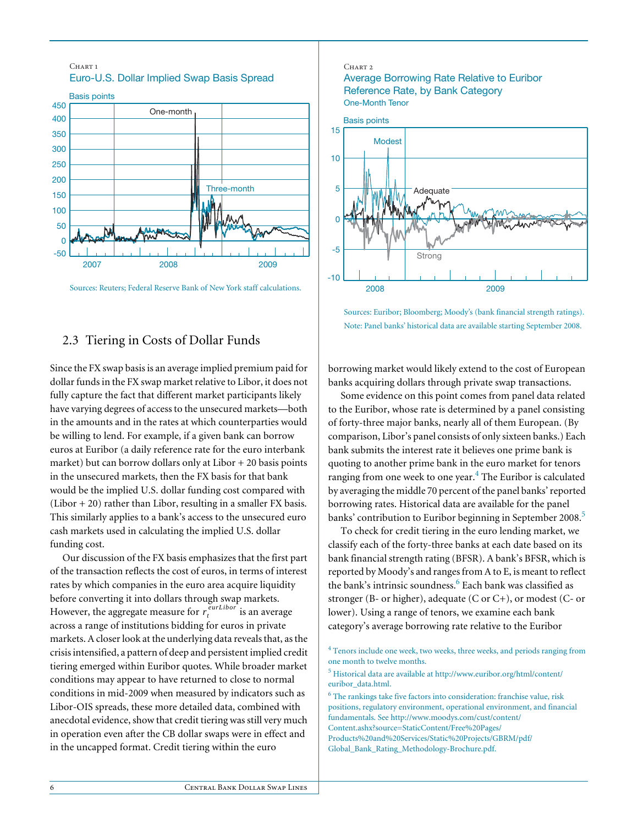

Sources: Reuters; Federal Reserve Bank of New York staff calculations.

## 2.3 Tiering in Costs of Dollar Funds

Since the FX swap basis is an average implied premium paid for dollar funds in the FX swap market relative to Libor, it does not fully capture the fact that different market participants likely have varying degrees of access to the unsecured markets—both in the amounts and in the rates at which counterparties would be willing to lend. For example, if a given bank can borrow euros at Euribor (a daily reference rate for the euro interbank market) but can borrow dollars only at Libor + 20 basis points in the unsecured markets, then the FX basis for that bank would be the implied U.S. dollar funding cost compared with  $(Libor + 20)$  rather than Libor, resulting in a smaller FX basis. This similarly applies to a bank's access to the unsecured euro cash markets used in calculating the implied U.S. dollar funding cost.

Our discussion of the FX basis emphasizes that the first part of the transaction reflects the cost of euros, in terms of interest rates by which companies in the euro area acquire liquidity before converting it into dollars through swap markets. However, the aggregate measure for  $r_t^{curLibor}$  is an average across a range of institutions bidding for euros in private markets. A closer look at the underlying data reveals that, as the crisis intensified, a pattern of deep and persistent implied credit tiering emerged within Euribor quotes. While broader market conditions may appear to have returned to close to normal conditions in mid-2009 when measured by indicators such as Libor-OIS spreads, these more detailed data, combined with anecdotal evidence, show that credit tiering was still very much in operation even after the CB dollar swaps were in effect and in the uncapped format. Credit tiering within the euro

#### CHART<sub>2</sub>





Sources: Euribor; Bloomberg; Moody's (bank financial strength ratings). Note: Panel banks' historical data are available starting September 2008.

borrowing market would likely extend to the cost of European banks acquiring dollars through private swap transactions.

Some evidence on this point comes from panel data related to the Euribor, whose rate is determined by a panel consisting of forty-three major banks, nearly all of them European. (By comparison, Libor's panel consists of only sixteen banks.) Each bank submits the interest rate it believes one prime bank is quoting to another prime bank in the euro market for tenors ranging from one week to one year. $^4$  The Euribor is calculated by averaging the middle 70 percent of the panel banks' reported borrowing rates. Historical data are available for the panel banks' contribution to Euribor beginning in September 2008.<sup>5</sup>

To check for credit tiering in the euro lending market, we classify each of the forty-three banks at each date based on its bank financial strength rating (BFSR). A bank's BFSR, which is reported by Moody's and ranges from A to E, is meant to reflect the bank's intrinsic soundness.<sup>6</sup> Each bank was classified as stronger (B- or higher), adequate (C or C+), or modest (C- or lower). Using a range of tenors, we examine each bank category's average borrowing rate relative to the Euribor

<sup>4</sup> Tenors include one week, two weeks, three weeks, and periods ranging from one month to twelve months.

<sup>&</sup>lt;sup>5</sup> Historical data are available at http://www.euribor.org/html/content/ euribor\_data.html.

<sup>&</sup>lt;sup>6</sup> The rankings take five factors into consideration: franchise value, risk positions, regulatory environment, operational environment, and financial fundamentals. See http://www.moodys.com/cust/content/ Content.ashx?source=StaticContent/Free%20Pages/ Products%20and%20Services/Static%20Projects/GBRM/pdf/ Global\_Bank\_Rating\_Methodology-Brochure.pdf.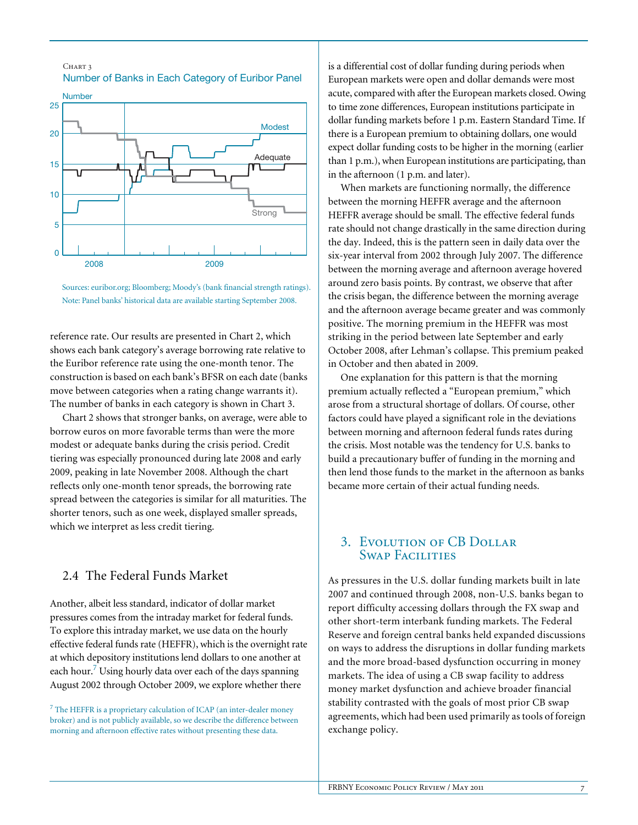

CHART<sub>3</sub>

Sources: euribor.org; Bloomberg; Moody's (bank financial strength ratings). Note: Panel banks' historical data are available starting September 2008.

reference rate. Our results are presented in Chart 2, which shows each bank category's average borrowing rate relative to the Euribor reference rate using the one-month tenor. The construction is based on each bank's BFSR on each date (banks move between categories when a rating change warrants it). The number of banks in each category is shown in Chart 3.

Chart 2 shows that stronger banks, on average, were able to borrow euros on more favorable terms than were the more modest or adequate banks during the crisis period. Credit tiering was especially pronounced during late 2008 and early 2009, peaking in late November 2008. Although the chart reflects only one-month tenor spreads, the borrowing rate spread between the categories is similar for all maturities. The shorter tenors, such as one week, displayed smaller spreads, which we interpret as less credit tiering.

## 2.4 The Federal Funds Market

Another, albeit less standard, indicator of dollar market pressures comes from the intraday market for federal funds. To explore this intraday market, we use data on the hourly effective federal funds rate (HEFFR), which is the overnight rate at which depository institutions lend dollars to one another at each hour.<sup>7</sup> Using hourly data over each of the days spanning August 2002 through October 2009, we explore whether there

 $7$  The HEFFR is a proprietary calculation of ICAP (an inter-dealer money broker) and is not publicly available, so we describe the difference between morning and afternoon effective rates without presenting these data.

is a differential cost of dollar funding during periods when European markets were open and dollar demands were most acute, compared with after the European markets closed. Owing to time zone differences, European institutions participate in dollar funding markets before 1 p.m. Eastern Standard Time. If there is a European premium to obtaining dollars, one would expect dollar funding costs to be higher in the morning (earlier than 1 p.m.), when European institutions are participating, than in the afternoon (1 p.m. and later).

When markets are functioning normally, the difference between the morning HEFFR average and the afternoon HEFFR average should be small. The effective federal funds rate should not change drastically in the same direction during the day. Indeed, this is the pattern seen in daily data over the six-year interval from 2002 through July 2007. The difference between the morning average and afternoon average hovered around zero basis points. By contrast, we observe that after the crisis began, the difference between the morning average and the afternoon average became greater and was commonly positive. The morning premium in the HEFFR was most striking in the period between late September and early October 2008, after Lehman's collapse. This premium peaked in October and then abated in 2009.

One explanation for this pattern is that the morning premium actually reflected a "European premium," which arose from a structural shortage of dollars. Of course, other factors could have played a significant role in the deviations between morning and afternoon federal funds rates during the crisis. Most notable was the tendency for U.S. banks to build a precautionary buffer of funding in the morning and then lend those funds to the market in the afternoon as banks became more certain of their actual funding needs.

## 3. Evolution of CB Dollar Swap Facilities

As pressures in the U.S. dollar funding markets built in late 2007 and continued through 2008, non-U.S. banks began to report difficulty accessing dollars through the FX swap and other short-term interbank funding markets. The Federal Reserve and foreign central banks held expanded discussions on ways to address the disruptions in dollar funding markets and the more broad-based dysfunction occurring in money markets. The idea of using a CB swap facility to address money market dysfunction and achieve broader financial stability contrasted with the goals of most prior CB swap agreements, which had been used primarily as tools of foreign exchange policy.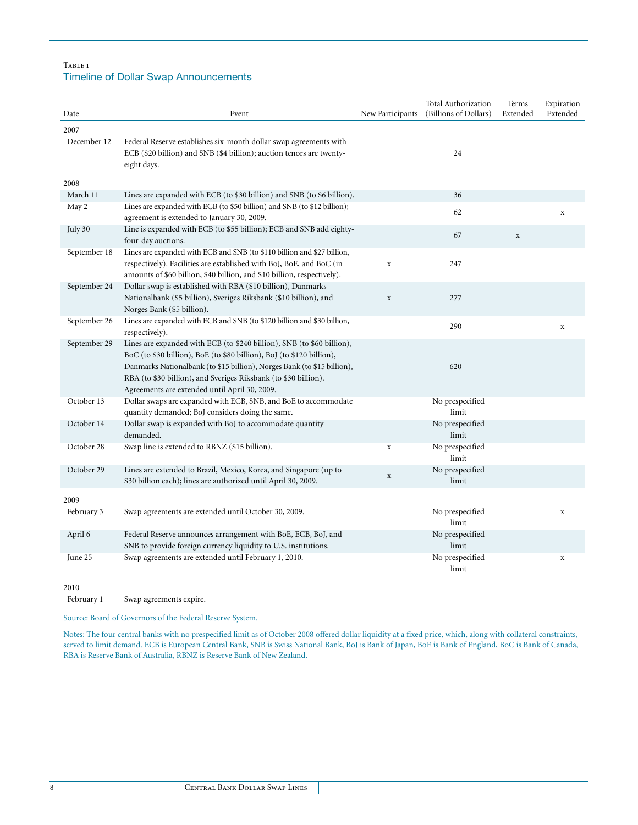#### TABLE<sub>1</sub> Timeline of Dollar Swap Announcements

| (Billions of Dollars)<br>Extended<br>Date<br>Event<br>New Participants<br>Extended<br>2007<br>December 12<br>Federal Reserve establishes six-month dollar swap agreements with<br>ECB (\$20 billion) and SNB (\$4 billion); auction tenors are twenty-<br>24<br>eight days.<br>2008<br>March 11<br>Lines are expanded with ECB (to \$30 billion) and SNB (to \$6 billion).<br>36<br>Lines are expanded with ECB (to \$50 billion) and SNB (to \$12 billion);<br>May 2<br>62<br>$\mathbf x$<br>agreement is extended to January 30, 2009.<br>July 30<br>Line is expanded with ECB (to \$55 billion); ECB and SNB add eighty-<br>67<br>$\mathbf X$<br>four-day auctions.<br>September 18<br>Lines are expanded with ECB and SNB (to \$110 billion and \$27 billion,<br>respectively). Facilities are established with BoJ, BoE, and BoC (in<br>247<br>$\mathbf x$<br>amounts of \$60 billion, \$40 billion, and \$10 billion, respectively).<br>September 24<br>Dollar swap is established with RBA (\$10 billion), Danmarks<br>Nationalbank (\$5 billion), Sveriges Riksbank (\$10 billion), and<br>277<br>$\mathbf x$<br>Norges Bank (\$5 billion).<br>September 26<br>Lines are expanded with ECB and SNB (to \$120 billion and \$30 billion,<br>290<br>$\mathbf x$<br>respectively).<br>September 29<br>Lines are expanded with ECB (to \$240 billion), SNB (to \$60 billion),<br>BoC (to \$30 billion), BoE (to \$80 billion), BoJ (to \$120 billion),<br>Danmarks Nationalbank (to \$15 billion), Norges Bank (to \$15 billion),<br>620<br>RBA (to \$30 billion), and Sveriges Riksbank (to \$30 billion).<br>Agreements are extended until April 30, 2009.<br>Dollar swaps are expanded with ECB, SNB, and BoE to accommodate<br>October 13<br>No prespecified<br>limit<br>quantity demanded; BoJ considers doing the same.<br>Dollar swap is expanded with BoJ to accommodate quantity<br>No prespecified<br>October 14<br>demanded.<br>limit<br>October 28<br>Swap line is extended to RBNZ (\$15 billion).<br>No prespecified<br>$\mathbf x$<br>limit<br>October 29<br>Lines are extended to Brazil, Mexico, Korea, and Singapore (up to<br>No prespecified<br>$\mathbf x$<br>limit<br>\$30 billion each); lines are authorized until April 30, 2009.<br>2009<br>February 3<br>Swap agreements are extended until October 30, 2009.<br>No prespecified<br>$\mathbf x$<br>limit<br>Federal Reserve announces arrangement with BoE, ECB, BoJ, and<br>No prespecified<br>April 6<br>limit<br>SNB to provide foreign currency liquidity to U.S. institutions.<br>Swap agreements are extended until February 1, 2010.<br>No prespecified<br>June 25<br>$\mathbf X$<br>limit |  | <b>Total Authorization</b> | Terms | Expiration |
|---------------------------------------------------------------------------------------------------------------------------------------------------------------------------------------------------------------------------------------------------------------------------------------------------------------------------------------------------------------------------------------------------------------------------------------------------------------------------------------------------------------------------------------------------------------------------------------------------------------------------------------------------------------------------------------------------------------------------------------------------------------------------------------------------------------------------------------------------------------------------------------------------------------------------------------------------------------------------------------------------------------------------------------------------------------------------------------------------------------------------------------------------------------------------------------------------------------------------------------------------------------------------------------------------------------------------------------------------------------------------------------------------------------------------------------------------------------------------------------------------------------------------------------------------------------------------------------------------------------------------------------------------------------------------------------------------------------------------------------------------------------------------------------------------------------------------------------------------------------------------------------------------------------------------------------------------------------------------------------------------------------------------------------------------------------------------------------------------------------------------------------------------------------------------------------------------------------------------------------------------------------------------------------------------------------------------------------------------------------------------------------------------------------------------------------------------------------------------------------------------------------------------------------------------------------------------------------------------------------------------------------------------------------------------------|--|----------------------------|-------|------------|
|                                                                                                                                                                                                                                                                                                                                                                                                                                                                                                                                                                                                                                                                                                                                                                                                                                                                                                                                                                                                                                                                                                                                                                                                                                                                                                                                                                                                                                                                                                                                                                                                                                                                                                                                                                                                                                                                                                                                                                                                                                                                                                                                                                                                                                                                                                                                                                                                                                                                                                                                                                                                                                                                                 |  |                            |       |            |
|                                                                                                                                                                                                                                                                                                                                                                                                                                                                                                                                                                                                                                                                                                                                                                                                                                                                                                                                                                                                                                                                                                                                                                                                                                                                                                                                                                                                                                                                                                                                                                                                                                                                                                                                                                                                                                                                                                                                                                                                                                                                                                                                                                                                                                                                                                                                                                                                                                                                                                                                                                                                                                                                                 |  |                            |       |            |
|                                                                                                                                                                                                                                                                                                                                                                                                                                                                                                                                                                                                                                                                                                                                                                                                                                                                                                                                                                                                                                                                                                                                                                                                                                                                                                                                                                                                                                                                                                                                                                                                                                                                                                                                                                                                                                                                                                                                                                                                                                                                                                                                                                                                                                                                                                                                                                                                                                                                                                                                                                                                                                                                                 |  |                            |       |            |
|                                                                                                                                                                                                                                                                                                                                                                                                                                                                                                                                                                                                                                                                                                                                                                                                                                                                                                                                                                                                                                                                                                                                                                                                                                                                                                                                                                                                                                                                                                                                                                                                                                                                                                                                                                                                                                                                                                                                                                                                                                                                                                                                                                                                                                                                                                                                                                                                                                                                                                                                                                                                                                                                                 |  |                            |       |            |
|                                                                                                                                                                                                                                                                                                                                                                                                                                                                                                                                                                                                                                                                                                                                                                                                                                                                                                                                                                                                                                                                                                                                                                                                                                                                                                                                                                                                                                                                                                                                                                                                                                                                                                                                                                                                                                                                                                                                                                                                                                                                                                                                                                                                                                                                                                                                                                                                                                                                                                                                                                                                                                                                                 |  |                            |       |            |
|                                                                                                                                                                                                                                                                                                                                                                                                                                                                                                                                                                                                                                                                                                                                                                                                                                                                                                                                                                                                                                                                                                                                                                                                                                                                                                                                                                                                                                                                                                                                                                                                                                                                                                                                                                                                                                                                                                                                                                                                                                                                                                                                                                                                                                                                                                                                                                                                                                                                                                                                                                                                                                                                                 |  |                            |       |            |
|                                                                                                                                                                                                                                                                                                                                                                                                                                                                                                                                                                                                                                                                                                                                                                                                                                                                                                                                                                                                                                                                                                                                                                                                                                                                                                                                                                                                                                                                                                                                                                                                                                                                                                                                                                                                                                                                                                                                                                                                                                                                                                                                                                                                                                                                                                                                                                                                                                                                                                                                                                                                                                                                                 |  |                            |       |            |
|                                                                                                                                                                                                                                                                                                                                                                                                                                                                                                                                                                                                                                                                                                                                                                                                                                                                                                                                                                                                                                                                                                                                                                                                                                                                                                                                                                                                                                                                                                                                                                                                                                                                                                                                                                                                                                                                                                                                                                                                                                                                                                                                                                                                                                                                                                                                                                                                                                                                                                                                                                                                                                                                                 |  |                            |       |            |
|                                                                                                                                                                                                                                                                                                                                                                                                                                                                                                                                                                                                                                                                                                                                                                                                                                                                                                                                                                                                                                                                                                                                                                                                                                                                                                                                                                                                                                                                                                                                                                                                                                                                                                                                                                                                                                                                                                                                                                                                                                                                                                                                                                                                                                                                                                                                                                                                                                                                                                                                                                                                                                                                                 |  |                            |       |            |
|                                                                                                                                                                                                                                                                                                                                                                                                                                                                                                                                                                                                                                                                                                                                                                                                                                                                                                                                                                                                                                                                                                                                                                                                                                                                                                                                                                                                                                                                                                                                                                                                                                                                                                                                                                                                                                                                                                                                                                                                                                                                                                                                                                                                                                                                                                                                                                                                                                                                                                                                                                                                                                                                                 |  |                            |       |            |
|                                                                                                                                                                                                                                                                                                                                                                                                                                                                                                                                                                                                                                                                                                                                                                                                                                                                                                                                                                                                                                                                                                                                                                                                                                                                                                                                                                                                                                                                                                                                                                                                                                                                                                                                                                                                                                                                                                                                                                                                                                                                                                                                                                                                                                                                                                                                                                                                                                                                                                                                                                                                                                                                                 |  |                            |       |            |
|                                                                                                                                                                                                                                                                                                                                                                                                                                                                                                                                                                                                                                                                                                                                                                                                                                                                                                                                                                                                                                                                                                                                                                                                                                                                                                                                                                                                                                                                                                                                                                                                                                                                                                                                                                                                                                                                                                                                                                                                                                                                                                                                                                                                                                                                                                                                                                                                                                                                                                                                                                                                                                                                                 |  |                            |       |            |
|                                                                                                                                                                                                                                                                                                                                                                                                                                                                                                                                                                                                                                                                                                                                                                                                                                                                                                                                                                                                                                                                                                                                                                                                                                                                                                                                                                                                                                                                                                                                                                                                                                                                                                                                                                                                                                                                                                                                                                                                                                                                                                                                                                                                                                                                                                                                                                                                                                                                                                                                                                                                                                                                                 |  |                            |       |            |
|                                                                                                                                                                                                                                                                                                                                                                                                                                                                                                                                                                                                                                                                                                                                                                                                                                                                                                                                                                                                                                                                                                                                                                                                                                                                                                                                                                                                                                                                                                                                                                                                                                                                                                                                                                                                                                                                                                                                                                                                                                                                                                                                                                                                                                                                                                                                                                                                                                                                                                                                                                                                                                                                                 |  |                            |       |            |
|                                                                                                                                                                                                                                                                                                                                                                                                                                                                                                                                                                                                                                                                                                                                                                                                                                                                                                                                                                                                                                                                                                                                                                                                                                                                                                                                                                                                                                                                                                                                                                                                                                                                                                                                                                                                                                                                                                                                                                                                                                                                                                                                                                                                                                                                                                                                                                                                                                                                                                                                                                                                                                                                                 |  |                            |       |            |
|                                                                                                                                                                                                                                                                                                                                                                                                                                                                                                                                                                                                                                                                                                                                                                                                                                                                                                                                                                                                                                                                                                                                                                                                                                                                                                                                                                                                                                                                                                                                                                                                                                                                                                                                                                                                                                                                                                                                                                                                                                                                                                                                                                                                                                                                                                                                                                                                                                                                                                                                                                                                                                                                                 |  |                            |       |            |
|                                                                                                                                                                                                                                                                                                                                                                                                                                                                                                                                                                                                                                                                                                                                                                                                                                                                                                                                                                                                                                                                                                                                                                                                                                                                                                                                                                                                                                                                                                                                                                                                                                                                                                                                                                                                                                                                                                                                                                                                                                                                                                                                                                                                                                                                                                                                                                                                                                                                                                                                                                                                                                                                                 |  |                            |       |            |
|                                                                                                                                                                                                                                                                                                                                                                                                                                                                                                                                                                                                                                                                                                                                                                                                                                                                                                                                                                                                                                                                                                                                                                                                                                                                                                                                                                                                                                                                                                                                                                                                                                                                                                                                                                                                                                                                                                                                                                                                                                                                                                                                                                                                                                                                                                                                                                                                                                                                                                                                                                                                                                                                                 |  |                            |       |            |
|                                                                                                                                                                                                                                                                                                                                                                                                                                                                                                                                                                                                                                                                                                                                                                                                                                                                                                                                                                                                                                                                                                                                                                                                                                                                                                                                                                                                                                                                                                                                                                                                                                                                                                                                                                                                                                                                                                                                                                                                                                                                                                                                                                                                                                                                                                                                                                                                                                                                                                                                                                                                                                                                                 |  |                            |       |            |
|                                                                                                                                                                                                                                                                                                                                                                                                                                                                                                                                                                                                                                                                                                                                                                                                                                                                                                                                                                                                                                                                                                                                                                                                                                                                                                                                                                                                                                                                                                                                                                                                                                                                                                                                                                                                                                                                                                                                                                                                                                                                                                                                                                                                                                                                                                                                                                                                                                                                                                                                                                                                                                                                                 |  |                            |       |            |
|                                                                                                                                                                                                                                                                                                                                                                                                                                                                                                                                                                                                                                                                                                                                                                                                                                                                                                                                                                                                                                                                                                                                                                                                                                                                                                                                                                                                                                                                                                                                                                                                                                                                                                                                                                                                                                                                                                                                                                                                                                                                                                                                                                                                                                                                                                                                                                                                                                                                                                                                                                                                                                                                                 |  |                            |       |            |
|                                                                                                                                                                                                                                                                                                                                                                                                                                                                                                                                                                                                                                                                                                                                                                                                                                                                                                                                                                                                                                                                                                                                                                                                                                                                                                                                                                                                                                                                                                                                                                                                                                                                                                                                                                                                                                                                                                                                                                                                                                                                                                                                                                                                                                                                                                                                                                                                                                                                                                                                                                                                                                                                                 |  |                            |       |            |
|                                                                                                                                                                                                                                                                                                                                                                                                                                                                                                                                                                                                                                                                                                                                                                                                                                                                                                                                                                                                                                                                                                                                                                                                                                                                                                                                                                                                                                                                                                                                                                                                                                                                                                                                                                                                                                                                                                                                                                                                                                                                                                                                                                                                                                                                                                                                                                                                                                                                                                                                                                                                                                                                                 |  |                            |       |            |
|                                                                                                                                                                                                                                                                                                                                                                                                                                                                                                                                                                                                                                                                                                                                                                                                                                                                                                                                                                                                                                                                                                                                                                                                                                                                                                                                                                                                                                                                                                                                                                                                                                                                                                                                                                                                                                                                                                                                                                                                                                                                                                                                                                                                                                                                                                                                                                                                                                                                                                                                                                                                                                                                                 |  |                            |       |            |
|                                                                                                                                                                                                                                                                                                                                                                                                                                                                                                                                                                                                                                                                                                                                                                                                                                                                                                                                                                                                                                                                                                                                                                                                                                                                                                                                                                                                                                                                                                                                                                                                                                                                                                                                                                                                                                                                                                                                                                                                                                                                                                                                                                                                                                                                                                                                                                                                                                                                                                                                                                                                                                                                                 |  |                            |       |            |
|                                                                                                                                                                                                                                                                                                                                                                                                                                                                                                                                                                                                                                                                                                                                                                                                                                                                                                                                                                                                                                                                                                                                                                                                                                                                                                                                                                                                                                                                                                                                                                                                                                                                                                                                                                                                                                                                                                                                                                                                                                                                                                                                                                                                                                                                                                                                                                                                                                                                                                                                                                                                                                                                                 |  |                            |       |            |
|                                                                                                                                                                                                                                                                                                                                                                                                                                                                                                                                                                                                                                                                                                                                                                                                                                                                                                                                                                                                                                                                                                                                                                                                                                                                                                                                                                                                                                                                                                                                                                                                                                                                                                                                                                                                                                                                                                                                                                                                                                                                                                                                                                                                                                                                                                                                                                                                                                                                                                                                                                                                                                                                                 |  |                            |       |            |
|                                                                                                                                                                                                                                                                                                                                                                                                                                                                                                                                                                                                                                                                                                                                                                                                                                                                                                                                                                                                                                                                                                                                                                                                                                                                                                                                                                                                                                                                                                                                                                                                                                                                                                                                                                                                                                                                                                                                                                                                                                                                                                                                                                                                                                                                                                                                                                                                                                                                                                                                                                                                                                                                                 |  |                            |       |            |
|                                                                                                                                                                                                                                                                                                                                                                                                                                                                                                                                                                                                                                                                                                                                                                                                                                                                                                                                                                                                                                                                                                                                                                                                                                                                                                                                                                                                                                                                                                                                                                                                                                                                                                                                                                                                                                                                                                                                                                                                                                                                                                                                                                                                                                                                                                                                                                                                                                                                                                                                                                                                                                                                                 |  |                            |       |            |
|                                                                                                                                                                                                                                                                                                                                                                                                                                                                                                                                                                                                                                                                                                                                                                                                                                                                                                                                                                                                                                                                                                                                                                                                                                                                                                                                                                                                                                                                                                                                                                                                                                                                                                                                                                                                                                                                                                                                                                                                                                                                                                                                                                                                                                                                                                                                                                                                                                                                                                                                                                                                                                                                                 |  |                            |       |            |
|                                                                                                                                                                                                                                                                                                                                                                                                                                                                                                                                                                                                                                                                                                                                                                                                                                                                                                                                                                                                                                                                                                                                                                                                                                                                                                                                                                                                                                                                                                                                                                                                                                                                                                                                                                                                                                                                                                                                                                                                                                                                                                                                                                                                                                                                                                                                                                                                                                                                                                                                                                                                                                                                                 |  |                            |       |            |
|                                                                                                                                                                                                                                                                                                                                                                                                                                                                                                                                                                                                                                                                                                                                                                                                                                                                                                                                                                                                                                                                                                                                                                                                                                                                                                                                                                                                                                                                                                                                                                                                                                                                                                                                                                                                                                                                                                                                                                                                                                                                                                                                                                                                                                                                                                                                                                                                                                                                                                                                                                                                                                                                                 |  |                            |       |            |
|                                                                                                                                                                                                                                                                                                                                                                                                                                                                                                                                                                                                                                                                                                                                                                                                                                                                                                                                                                                                                                                                                                                                                                                                                                                                                                                                                                                                                                                                                                                                                                                                                                                                                                                                                                                                                                                                                                                                                                                                                                                                                                                                                                                                                                                                                                                                                                                                                                                                                                                                                                                                                                                                                 |  |                            |       |            |
|                                                                                                                                                                                                                                                                                                                                                                                                                                                                                                                                                                                                                                                                                                                                                                                                                                                                                                                                                                                                                                                                                                                                                                                                                                                                                                                                                                                                                                                                                                                                                                                                                                                                                                                                                                                                                                                                                                                                                                                                                                                                                                                                                                                                                                                                                                                                                                                                                                                                                                                                                                                                                                                                                 |  |                            |       |            |
|                                                                                                                                                                                                                                                                                                                                                                                                                                                                                                                                                                                                                                                                                                                                                                                                                                                                                                                                                                                                                                                                                                                                                                                                                                                                                                                                                                                                                                                                                                                                                                                                                                                                                                                                                                                                                                                                                                                                                                                                                                                                                                                                                                                                                                                                                                                                                                                                                                                                                                                                                                                                                                                                                 |  |                            |       |            |
|                                                                                                                                                                                                                                                                                                                                                                                                                                                                                                                                                                                                                                                                                                                                                                                                                                                                                                                                                                                                                                                                                                                                                                                                                                                                                                                                                                                                                                                                                                                                                                                                                                                                                                                                                                                                                                                                                                                                                                                                                                                                                                                                                                                                                                                                                                                                                                                                                                                                                                                                                                                                                                                                                 |  |                            |       |            |
|                                                                                                                                                                                                                                                                                                                                                                                                                                                                                                                                                                                                                                                                                                                                                                                                                                                                                                                                                                                                                                                                                                                                                                                                                                                                                                                                                                                                                                                                                                                                                                                                                                                                                                                                                                                                                                                                                                                                                                                                                                                                                                                                                                                                                                                                                                                                                                                                                                                                                                                                                                                                                                                                                 |  |                            |       |            |
|                                                                                                                                                                                                                                                                                                                                                                                                                                                                                                                                                                                                                                                                                                                                                                                                                                                                                                                                                                                                                                                                                                                                                                                                                                                                                                                                                                                                                                                                                                                                                                                                                                                                                                                                                                                                                                                                                                                                                                                                                                                                                                                                                                                                                                                                                                                                                                                                                                                                                                                                                                                                                                                                                 |  |                            |       |            |
|                                                                                                                                                                                                                                                                                                                                                                                                                                                                                                                                                                                                                                                                                                                                                                                                                                                                                                                                                                                                                                                                                                                                                                                                                                                                                                                                                                                                                                                                                                                                                                                                                                                                                                                                                                                                                                                                                                                                                                                                                                                                                                                                                                                                                                                                                                                                                                                                                                                                                                                                                                                                                                                                                 |  |                            |       |            |

2010

February 1 Swap agreements expire.

Source: Board of Governors of the Federal Reserve System.

Notes: The four central banks with no prespecified limit as of October 2008 offered dollar liquidity at a fixed price, which, along with collateral constraints, served to limit demand. ECB is European Central Bank, SNB is Swiss National Bank, BoJ is Bank of Japan, BoE is Bank of England, BoC is Bank of Canada, RBA is Reserve Bank of Australia, RBNZ is Reserve Bank of New Zealand.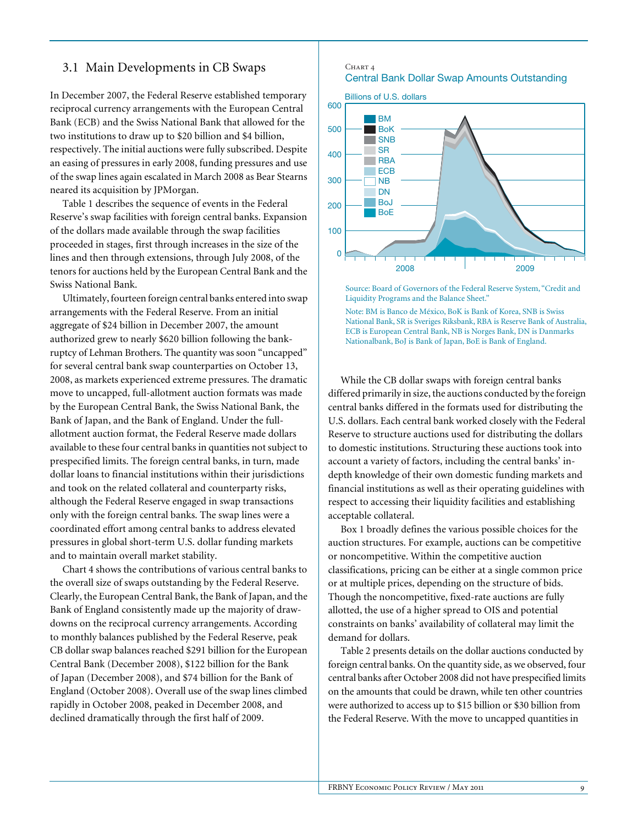## 3.1 Main Developments in CB Swaps

In December 2007, the Federal Reserve established temporary reciprocal currency arrangements with the European Central Bank (ECB) and the Swiss National Bank that allowed for the two institutions to draw up to \$20 billion and \$4 billion, respectively. The initial auctions were fully subscribed. Despite an easing of pressures in early 2008, funding pressures and use of the swap lines again escalated in March 2008 as Bear Stearns neared its acquisition by JPMorgan.

Table 1 describes the sequence of events in the Federal Reserve's swap facilities with foreign central banks. Expansion of the dollars made available through the swap facilities proceeded in stages, first through increases in the size of the lines and then through extensions, through July 2008, of the tenors for auctions held by the European Central Bank and the Swiss National Bank.

Ultimately, fourteen foreign central banks entered into swap arrangements with the Federal Reserve. From an initial aggregate of \$24 billion in December 2007, the amount authorized grew to nearly \$620 billion following the bankruptcy of Lehman Brothers. The quantity was soon "uncapped" for several central bank swap counterparties on October 13, 2008, as markets experienced extreme pressures. The dramatic move to uncapped, full-allotment auction formats was made by the European Central Bank, the Swiss National Bank, the Bank of Japan, and the Bank of England. Under the fullallotment auction format, the Federal Reserve made dollars available to these four central banks in quantities not subject to prespecified limits. The foreign central banks, in turn, made dollar loans to financial institutions within their jurisdictions and took on the related collateral and counterparty risks, although the Federal Reserve engaged in swap transactions only with the foreign central banks. The swap lines were a coordinated effort among central banks to address elevated pressures in global short-term U.S. dollar funding markets and to maintain overall market stability.

Chart 4 shows the contributions of various central banks to the overall size of swaps outstanding by the Federal Reserve. Clearly, the European Central Bank, the Bank of Japan, and the Bank of England consistently made up the majority of drawdowns on the reciprocal currency arrangements. According to monthly balances published by the Federal Reserve, peak CB dollar swap balances reached \$291 billion for the European Central Bank (December 2008), \$122 billion for the Bank of Japan (December 2008), and \$74 billion for the Bank of England (October 2008). Overall use of the swap lines climbed rapidly in October 2008, peaked in December 2008, and declined dramatically through the first half of 2009.

#### CHART<sub>4</sub> Central Bank Dollar Swap Amounts Outstanding



Source: Board of Governors of the Federal Reserve System, "Credit and Liquidity Programs and the Balance Sheet."

Note: BM is Banco de México, BoK is Bank of Korea, SNB is Swiss National Bank, SR is Sveriges Riksbank, RBA is Reserve Bank of Australia, ECB is European Central Bank, NB is Norges Bank, DN is Danmarks Nationalbank, BoJ is Bank of Japan, BoE is Bank of England.

While the CB dollar swaps with foreign central banks differed primarily in size, the auctions conducted by the foreign central banks differed in the formats used for distributing the U.S. dollars. Each central bank worked closely with the Federal Reserve to structure auctions used for distributing the dollars to domestic institutions. Structuring these auctions took into account a variety of factors, including the central banks' indepth knowledge of their own domestic funding markets and financial institutions as well as their operating guidelines with respect to accessing their liquidity facilities and establishing acceptable collateral.

Box 1 broadly defines the various possible choices for the auction structures. For example, auctions can be competitive or noncompetitive. Within the competitive auction classifications, pricing can be either at a single common price or at multiple prices, depending on the structure of bids. Though the noncompetitive, fixed-rate auctions are fully allotted, the use of a higher spread to OIS and potential constraints on banks' availability of collateral may limit the demand for dollars.

Table 2 presents details on the dollar auctions conducted by foreign central banks. On the quantity side, as we observed, four central banks after October 2008 did not have prespecified limits on the amounts that could be drawn, while ten other countries were authorized to access up to \$15 billion or \$30 billion from the Federal Reserve. With the move to uncapped quantities in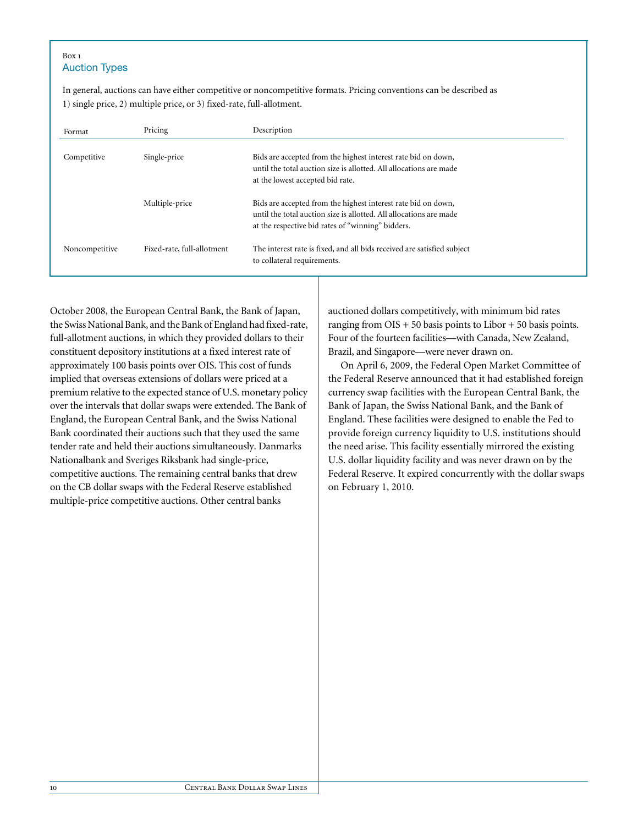#### Box 1 Auction Types

In general, auctions can have either competitive or noncompetitive formats. Pricing conventions can be described as 1) single price, 2) multiple price, or 3) fixed-rate, full-allotment.

| Format         | Pricing                    | Description                                                                                                                                                                              |
|----------------|----------------------------|------------------------------------------------------------------------------------------------------------------------------------------------------------------------------------------|
| Competitive    | Single-price               | Bids are accepted from the highest interest rate bid on down,<br>until the total auction size is allotted. All allocations are made<br>at the lowest accepted bid rate.                  |
|                | Multiple-price             | Bids are accepted from the highest interest rate bid on down,<br>until the total auction size is allotted. All allocations are made<br>at the respective bid rates of "winning" bidders. |
| Noncompetitive | Fixed-rate, full-allotment | The interest rate is fixed, and all bids received are satisfied subject<br>to collateral requirements.                                                                                   |

October 2008, the European Central Bank, the Bank of Japan, the Swiss National Bank, and the Bank of England had fixed-rate, full-allotment auctions, in which they provided dollars to their constituent depository institutions at a fixed interest rate of approximately 100 basis points over OIS. This cost of funds implied that overseas extensions of dollars were priced at a premium relative to the expected stance of U.S. monetary policy over the intervals that dollar swaps were extended. The Bank of England, the European Central Bank, and the Swiss National Bank coordinated their auctions such that they used the same tender rate and held their auctions simultaneously. Danmarks Nationalbank and Sveriges Riksbank had single-price, competitive auctions. The remaining central banks that drew on the CB dollar swaps with the Federal Reserve established multiple-price competitive auctions. Other central banks

auctioned dollars competitively, with minimum bid rates ranging from  $OIS + 50$  basis points to Libor  $+ 50$  basis points. Four of the fourteen facilities—with Canada, New Zealand, Brazil, and Singapore—were never drawn on.

On April 6, 2009, the Federal Open Market Committee of the Federal Reserve announced that it had established foreign currency swap facilities with the European Central Bank, the Bank of Japan, the Swiss National Bank, and the Bank of England. These facilities were designed to enable the Fed to provide foreign currency liquidity to U.S. institutions should the need arise. This facility essentially mirrored the existing U.S. dollar liquidity facility and was never drawn on by the Federal Reserve. It expired concurrently with the dollar swaps on February 1, 2010.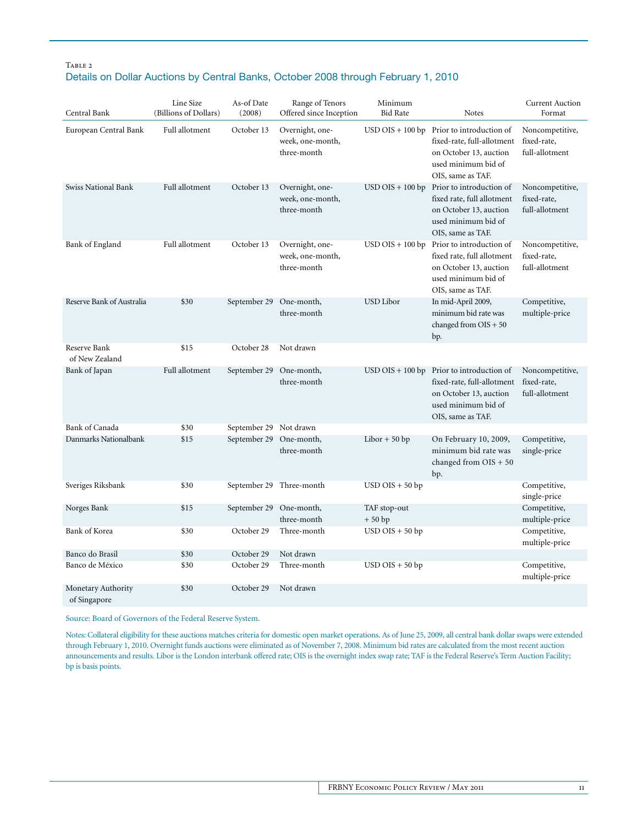## TABLE 2 Details on Dollar Auctions by Central Banks, October 2008 through February 1, 2010

| Central Bank                       | Line Size<br>(Billions of Dollars) | As-of Date<br>(2008)   | Range of Tenors<br>Offered since Inception         | Minimum<br><b>Bid Rate</b> | <b>Notes</b>                                                                                                                                    | <b>Current Auction</b><br>Format                 |
|------------------------------------|------------------------------------|------------------------|----------------------------------------------------|----------------------------|-------------------------------------------------------------------------------------------------------------------------------------------------|--------------------------------------------------|
| European Central Bank              | Full allotment                     | October 13             | Overnight, one-<br>week, one-month,<br>three-month |                            | $USD OIS + 100 bp$ Prior to introduction of<br>fixed-rate, full-allotment<br>on October 13, auction<br>used minimum bid of<br>OIS, same as TAF. | Noncompetitive,<br>fixed-rate,<br>full-allotment |
| Swiss National Bank                | Full allotment                     | October 13             | Overnight, one-<br>week, one-month,<br>three-month | $USD OIS + 100 bp$         | Prior to introduction of<br>fixed rate, full allotment<br>on October 13, auction<br>used minimum bid of<br>OIS, same as TAF.                    | Noncompetitive,<br>fixed-rate,<br>full-allotment |
| Bank of England                    | Full allotment                     | October 13             | Overnight, one-<br>week, one-month,<br>three-month | $USD$ OIS + 100 bp         | Prior to introduction of<br>fixed rate, full allotment<br>on October 13, auction<br>used minimum bid of<br>OIS, same as TAF.                    | Noncompetitive,<br>fixed-rate,<br>full-allotment |
| Reserve Bank of Australia          | \$30                               | September 29           | One-month,<br>three-month                          | USD Libor                  | In mid-April 2009,<br>minimum bid rate was<br>changed from $OIS + 50$<br>bp.                                                                    | Competitive,<br>multiple-price                   |
| Reserve Bank<br>of New Zealand     | \$15                               | October 28             | Not drawn                                          |                            |                                                                                                                                                 |                                                  |
| Bank of Japan                      | Full allotment                     | September 29           | One-month,<br>three-month                          | $USD$ OIS + 100 bp         | Prior to introduction of<br>fixed-rate, full-allotment<br>on October 13, auction<br>used minimum bid of<br>OIS, same as TAF.                    | Noncompetitive,<br>fixed-rate,<br>full-allotment |
| <b>Bank of Canada</b>              | \$30                               | September 29 Not drawn |                                                    |                            |                                                                                                                                                 |                                                  |
| Danmarks Nationalbank              | \$15                               | September 29           | One-month,<br>three-month                          | $Libor + 50 bp$            | On February 10, 2009,<br>minimum bid rate was<br>changed from OIS + 50<br>bp.                                                                   | Competitive,<br>single-price                     |
| Sveriges Riksbank                  | \$30                               | September 29           | Three-month                                        | $USD$ OIS + 50 bp          |                                                                                                                                                 | Competitive,<br>single-price                     |
| Norges Bank                        | \$15                               | September 29           | One-month,<br>three-month                          | TAF stop-out<br>$+50bp$    |                                                                                                                                                 | Competitive,<br>multiple-price                   |
| Bank of Korea                      | \$30                               | October 29             | Three-month                                        | $USD$ OIS + 50 bp          |                                                                                                                                                 | Competitive,<br>multiple-price                   |
| Banco do Brasil                    | \$30                               | October 29             | Not drawn                                          |                            |                                                                                                                                                 |                                                  |
| Banco de México                    | \$30                               | October 29             | Three-month                                        | $USD OIS + 50 bp$          |                                                                                                                                                 | Competitive,<br>multiple-price                   |
| Monetary Authority<br>of Singapore | \$30                               | October 29             | Not drawn                                          |                            |                                                                                                                                                 |                                                  |

Source: Board of Governors of the Federal Reserve System.

Notes: Collateral eligibility for these auctions matches criteria for domestic open market operations. As of June 25, 2009, all central bank dollar swaps were extended through February 1, 2010. Overnight funds auctions were eliminated as of November 7, 2008. Minimum bid rates are calculated from the most recent auction announcements and results. Libor is the London interbank offered rate; OIS is the overnight index swap rate; TAF is the Federal Reserve's Term Auction Facility; bp is basis points.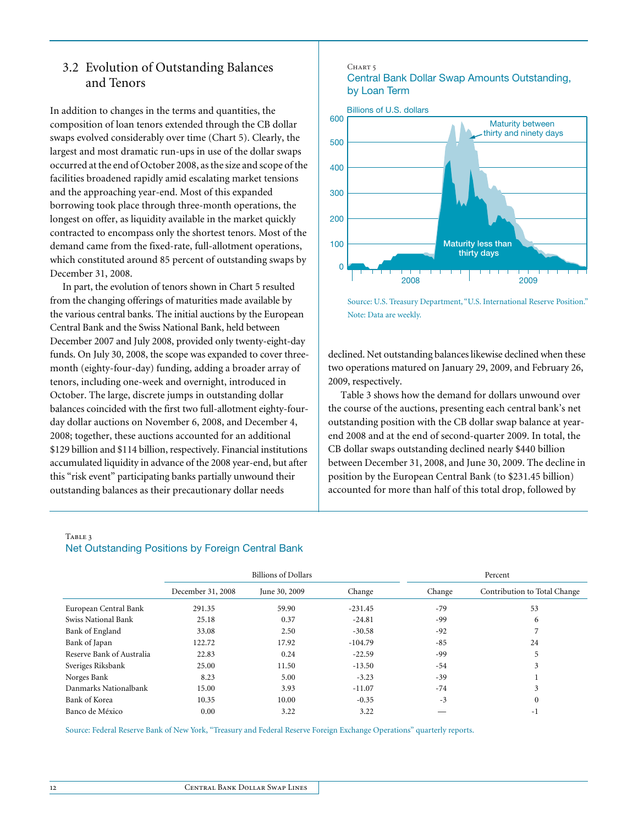# 3.2 Evolution of Outstanding Balances and Tenors

In addition to changes in the terms and quantities, the composition of loan tenors extended through the CB dollar swaps evolved considerably over time (Chart 5). Clearly, the largest and most dramatic run-ups in use of the dollar swaps occurred at the end of October 2008, as the size and scope of the facilities broadened rapidly amid escalating market tensions and the approaching year-end. Most of this expanded borrowing took place through three-month operations, the longest on offer, as liquidity available in the market quickly contracted to encompass only the shortest tenors. Most of the demand came from the fixed-rate, full-allotment operations, which constituted around 85 percent of outstanding swaps by December 31, 2008.

In part, the evolution of tenors shown in Chart 5 resulted from the changing offerings of maturities made available by the various central banks. The initial auctions by the European Central Bank and the Swiss National Bank, held between December 2007 and July 2008, provided only twenty-eight-day funds. On July 30, 2008, the scope was expanded to cover threemonth (eighty-four-day) funding, adding a broader array of tenors, including one-week and overnight, introduced in October. The large, discrete jumps in outstanding dollar balances coincided with the first two full-allotment eighty-fourday dollar auctions on November 6, 2008, and December 4, 2008; together, these auctions accounted for an additional \$129 billion and \$114 billion, respectively. Financial institutions accumulated liquidity in advance of the 2008 year-end, but after this "risk event" participating banks partially unwound their outstanding balances as their precautionary dollar needs

#### CHART<sub>5</sub> Central Bank Dollar Swap Amounts Outstanding, by Loan Term





declined. Net outstanding balances likewise declined when these two operations matured on January 29, 2009, and February 26, 2009, respectively.

Table 3 shows how the demand for dollars unwound over the course of the auctions, presenting each central bank's net outstanding position with the CB dollar swap balance at yearend 2008 and at the end of second-quarter 2009. In total, the CB dollar swaps outstanding declined nearly \$440 billion between December 31, 2008, and June 30, 2009. The decline in position by the European Central Bank (to \$231.45 billion) accounted for more than half of this total drop, followed by

### TABLE 3 Net Outstanding Positions by Foreign Central Bank

|                           | <b>Billions of Dollars</b> |               |           | Percent |                              |  |
|---------------------------|----------------------------|---------------|-----------|---------|------------------------------|--|
|                           | December 31, 2008          | June 30, 2009 | Change    | Change  | Contribution to Total Change |  |
| European Central Bank     | 291.35                     | 59.90         | $-231.45$ | $-79$   | 53                           |  |
| Swiss National Bank       | 25.18                      | 0.37          | $-24.81$  | -99     | 6                            |  |
| Bank of England           | 33.08                      | 2.50          | $-30.58$  | $-92$   |                              |  |
| Bank of Japan             | 122.72                     | 17.92         | $-104.79$ | $-85$   | 24                           |  |
| Reserve Bank of Australia | 22.83                      | 0.24          | $-22.59$  | -99     | 5                            |  |
| Sveriges Riksbank         | 25.00                      | 11.50         | $-13.50$  | $-54$   | 3                            |  |
| Norges Bank               | 8.23                       | 5.00          | $-3.23$   | $-39$   |                              |  |
| Danmarks Nationalbank     | 15.00                      | 3.93          | $-11.07$  | $-74$   | 3                            |  |
| Bank of Korea             | 10.35                      | 10.00         | $-0.35$   | $-3$    | $\mathbf{0}$                 |  |
| Banco de México           | 0.00                       | 3.22          | 3.22      |         | -1                           |  |

Source: Federal Reserve Bank of New York, "Treasury and Federal Reserve Foreign Exchange Operations" quarterly reports.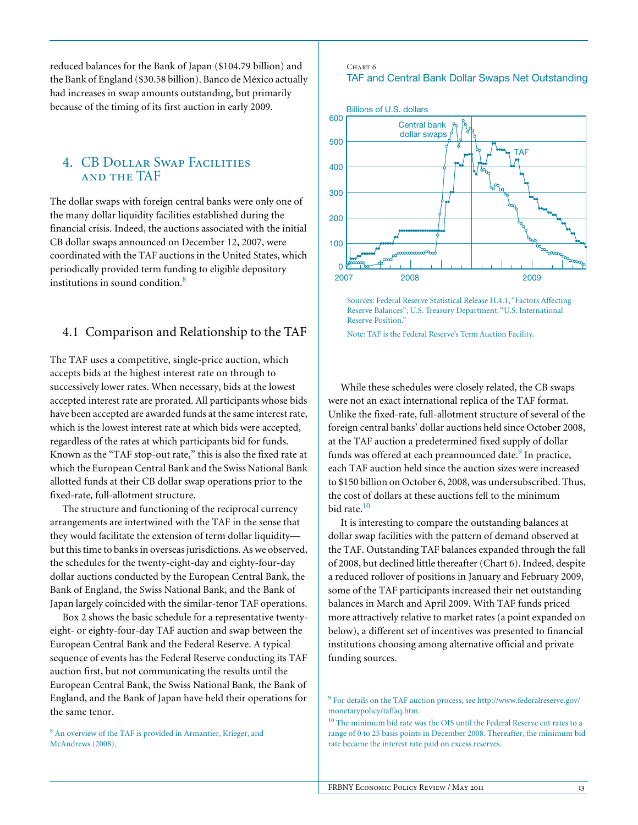reduced balances for the Bank of Japan (\$104.79 billion) and the Bank of England (\$30.58 billion). Banco de México actually had increases in swap amounts outstanding, but primarily because of the timing of its first auction in early 2009.

## 4. CB Dollar Swap Facilities and the TAF

The dollar swaps with foreign central banks were only one of the many dollar liquidity facilities established during the financial crisis. Indeed, the auctions associated with the initial CB dollar swaps announced on December 12, 2007, were coordinated with the TAF auctions in the United States, which periodically provided term funding to eligible depository institutions in sound condition.8

## 4.1 Comparison and Relationship to the TAF

The TAF uses a competitive, single-price auction, which accepts bids at the highest interest rate on through to successively lower rates. When necessary, bids at the lowest accepted interest rate are prorated. All participants whose bids have been accepted are awarded funds at the same interest rate, which is the lowest interest rate at which bids were accepted, regardless of the rates at which participants bid for funds. Known as the "TAF stop-out rate," this is also the fixed rate at which the European Central Bank and the Swiss National Bank allotted funds at their CB dollar swap operations prior to the fixed-rate, full-allotment structure.

The structure and functioning of the reciprocal currency arrangements are intertwined with the TAF in the sense that they would facilitate the extension of term dollar liquidity but this time to banks in overseas jurisdictions. As we observed, the schedules for the twenty-eight-day and eighty-four-day dollar auctions conducted by the European Central Bank, the Bank of England, the Swiss National Bank, and the Bank of Japan largely coincided with the similar-tenor TAF operations.

Box 2 shows the basic schedule for a representative twentyeight- or eighty-four-day TAF auction and swap between the European Central Bank and the Federal Reserve. A typical sequence of events has the Federal Reserve conducting its TAF auction first, but not communicating the results until the European Central Bank, the Swiss National Bank, the Bank of England, and the Bank of Japan have held their operations for the same tenor.

<sup>8</sup> An overview of the TAF is provided in Armantier, Krieger, and McAndrews (2008).

#### Chart 6 TAF and Central Bank Dollar Swaps Net Outstanding



Sources: Federal Reserve Statistical Release H.4.1, "Factors Affecting Reserve Balances"; U.S. Treasury Department, "U.S. International Reserve Position."

Note: TAF is the Federal Reserve's Term Auction Facility.

While these schedules were closely related, the CB swaps were not an exact international replica of the TAF format. Unlike the fixed-rate, full-allotment structure of several of the foreign central banks' dollar auctions held since October 2008, at the TAF auction a predetermined fixed supply of dollar funds was offered at each preannounced date.<sup>9</sup> In practice, each TAF auction held since the auction sizes were increased to \$150 billion on October 6, 2008, was undersubscribed. Thus, the cost of dollars at these auctions fell to the minimum bid rate.<sup>10</sup>

It is interesting to compare the outstanding balances at dollar swap facilities with the pattern of demand observed at the TAF. Outstanding TAF balances expanded through the fall of 2008, but declined little thereafter (Chart 6). Indeed, despite a reduced rollover of positions in January and February 2009, some of the TAF participants increased their net outstanding balances in March and April 2009. With TAF funds priced more attractively relative to market rates (a point expanded on below), a different set of incentives was presented to financial institutions choosing among alternative official and private funding sources.

<sup>&</sup>lt;sup>9</sup> For details on the TAF auction process, see http://www.federalreserve.gov/ monetarypolicy/taffaq.htm.

<sup>10</sup> The minimum bid rate was the OIS until the Federal Reserve cut rates to a range of 0 to 25 basis points in December 2008. Thereafter, the minimum bid rate became the interest rate paid on excess reserves.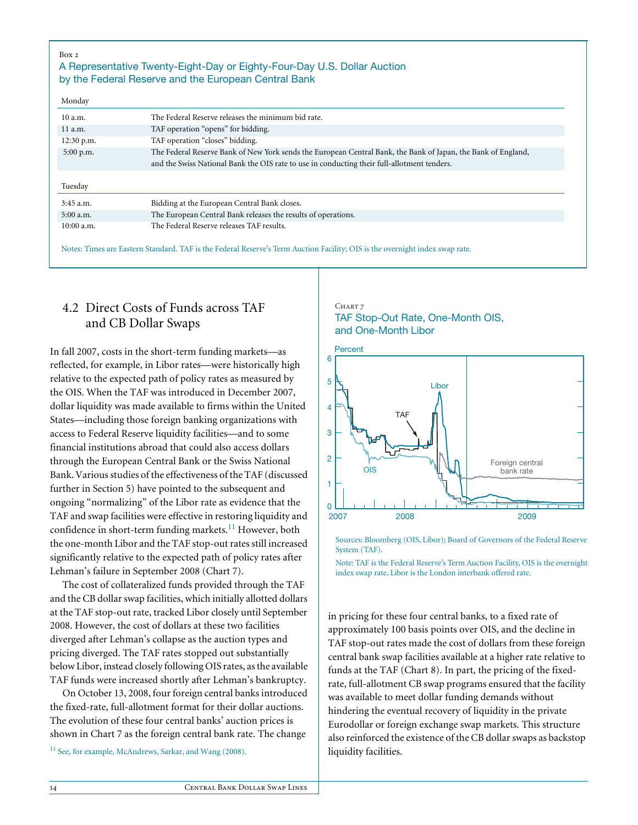| Box 2<br>Monday | A Representative Twenty-Eight-Day or Eighty-Four-Day U.S. Dollar Auction<br>by the Federal Reserve and the European Central Bank |
|-----------------|----------------------------------------------------------------------------------------------------------------------------------|
| 10a.m.          | The Federal Reserve releases the minimum bid rate.                                                                               |
|                 |                                                                                                                                  |
| 11 a.m.         | TAF operation "opens" for bidding.                                                                                               |
| $12:30$ p.m.    | TAF operation "closes" bidding.                                                                                                  |
| $5:00$ p.m.     | The Federal Reserve Bank of New York sends the European Central Bank, the Bank of Japan, the Bank of England,                    |
|                 | and the Swiss National Bank the OIS rate to use in conducting their full-allotment tenders.                                      |
|                 |                                                                                                                                  |
| Tuesday         |                                                                                                                                  |
| $3:45$ a.m.     | Bidding at the European Central Bank closes.                                                                                     |
| $5:00$ a.m.     | The European Central Bank releases the results of operations.                                                                    |
| $10:00$ a.m.    | The Federal Reserve releases TAF results.                                                                                        |

Notes: Times are Eastern Standard. TAF is the Federal Reserve's Term Auction Facility; OIS is the overnight index swap rate.

# 4.2 Direct Costs of Funds across TAF and CB Dollar Swaps

In fall 2007, costs in the short-term funding markets—as reflected, for example, in Libor rates—were historically high relative to the expected path of policy rates as measured by the OIS. When the TAF was introduced in December 2007, dollar liquidity was made available to firms within the United States—including those foreign banking organizations with access to Federal Reserve liquidity facilities—and to some financial institutions abroad that could also access dollars through the European Central Bank or the Swiss National Bank. Various studies of the effectiveness of the TAF (discussed further in Section 5) have pointed to the subsequent and ongoing "normalizing" of the Libor rate as evidence that the TAF and swap facilities were effective in restoring liquidity and confidence in short-term funding markets. $^{11}$  However, both the one-month Libor and the TAF stop-out rates still increased significantly relative to the expected path of policy rates after Lehman's failure in September 2008 (Chart 7).

The cost of collateralized funds provided through the TAF and the CB dollar swap facilities, which initially allotted dollars at the TAF stop-out rate, tracked Libor closely until September 2008. However, the cost of dollars at these two facilities diverged after Lehman's collapse as the auction types and pricing diverged. The TAF rates stopped out substantially below Libor, instead closely following OIS rates, as the available TAF funds were increased shortly after Lehman's bankruptcy.

On October 13, 2008, four foreign central banks introduced the fixed-rate, full-allotment format for their dollar auctions. The evolution of these four central banks' auction prices is shown in Chart 7 as the foreign central bank rate. The change

<sup>11</sup> See, for example, McAndrews, Sarkar, and Wang (2008).

## CHART 7 TAF Stop-Out Rate, One-Month OIS, and One-Month Libor



Sources: Bloomberg (OIS, Libor); Board of Governors of the Federal Reserve System (TAF).

Note: TAF is the Federal Reserve's Term Auction Facility, OIS is the overnight index swap rate, Libor is the London interbank offered rate.

in pricing for these four central banks, to a fixed rate of approximately 100 basis points over OIS, and the decline in TAF stop-out rates made the cost of dollars from these foreign central bank swap facilities available at a higher rate relative to funds at the TAF (Chart 8). In part, the pricing of the fixedrate, full-allotment CB swap programs ensured that the facility was available to meet dollar funding demands without hindering the eventual recovery of liquidity in the private Eurodollar or foreign exchange swap markets. This structure also reinforced the existence of the CB dollar swaps as backstop liquidity facilities.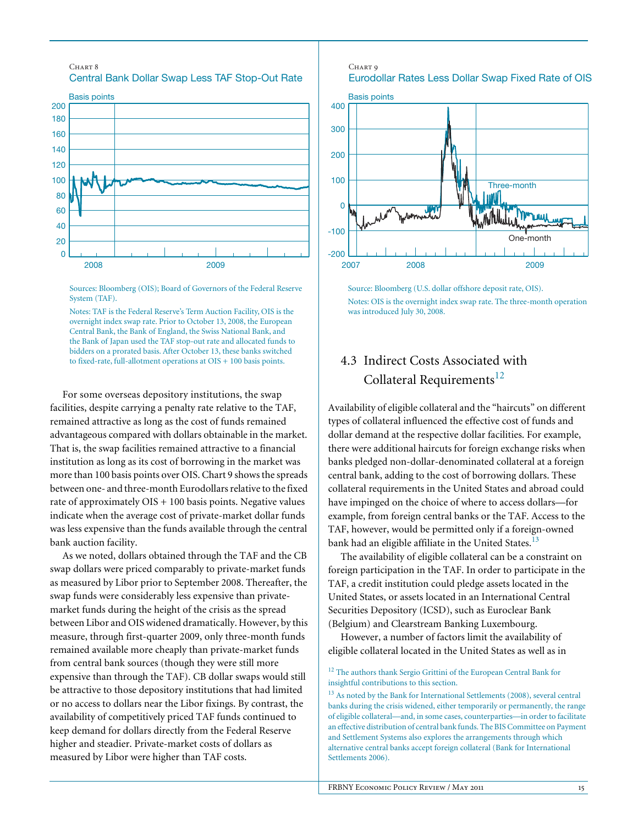



Sources: Bloomberg (OIS); Board of Governors of the Federal Reserve System (TAF).

Notes: TAF is the Federal Reserve's Term Auction Facility, OIS is the overnight index swap rate. Prior to October 13, 2008, the European Central Bank, the Bank of England, the Swiss National Bank, and the Bank of Japan used the TAF stop-out rate and allocated funds to bidders on a prorated basis. After October 13, these banks switched to fixed-rate, full-allotment operations at OIS + 100 basis points.

For some overseas depository institutions, the swap facilities, despite carrying a penalty rate relative to the TAF, remained attractive as long as the cost of funds remained advantageous compared with dollars obtainable in the market. That is, the swap facilities remained attractive to a financial institution as long as its cost of borrowing in the market was more than 100 basis points over OIS. Chart 9 shows the spreads between one- and three-month Eurodollars relative to the fixed rate of approximately  $OIS + 100$  basis points. Negative values indicate when the average cost of private-market dollar funds was less expensive than the funds available through the central bank auction facility.

As we noted, dollars obtained through the TAF and the CB swap dollars were priced comparably to private-market funds as measured by Libor prior to September 2008. Thereafter, the swap funds were considerably less expensive than privatemarket funds during the height of the crisis as the spread between Libor and OIS widened dramatically. However, by this measure, through first-quarter 2009, only three-month funds remained available more cheaply than private-market funds from central bank sources (though they were still more expensive than through the TAF). CB dollar swaps would still be attractive to those depository institutions that had limited or no access to dollars near the Libor fixings. By contrast, the availability of competitively priced TAF funds continued to keep demand for dollars directly from the Federal Reserve higher and steadier. Private-market costs of dollars as measured by Libor were higher than TAF costs.

#### Chart 9

Eurodollar Rates Less Dollar Swap Fixed Rate of OIS



Source: Bloomberg (U.S. dollar offshore deposit rate, OIS). Notes: OIS is the overnight index swap rate. The three-month operation was introduced July 30, 2008.

# 4.3 Indirect Costs Associated with Collateral Requirements<sup>12</sup>

Availability of eligible collateral and the "haircuts" on different types of collateral influenced the effective cost of funds and dollar demand at the respective dollar facilities. For example, there were additional haircuts for foreign exchange risks when banks pledged non-dollar-denominated collateral at a foreign central bank, adding to the cost of borrowing dollars. These collateral requirements in the United States and abroad could have impinged on the choice of where to access dollars—for example, from foreign central banks or the TAF. Access to the TAF, however, would be permitted only if a foreign-owned bank had an eligible affiliate in the United States.<sup>13</sup>

The availability of eligible collateral can be a constraint on foreign participation in the TAF. In order to participate in the TAF, a credit institution could pledge assets located in the United States, or assets located in an International Central Securities Depository (ICSD), such as Euroclear Bank (Belgium) and Clearstream Banking Luxembourg.

However, a number of factors limit the availability of eligible collateral located in the United States as well as in

<sup>&</sup>lt;sup>12</sup> The authors thank Sergio Grittini of the European Central Bank for insightful contributions to this section.

<sup>&</sup>lt;sup>13</sup> As noted by the Bank for International Settlements (2008), several central banks during the crisis widened, either temporarily or permanently, the range of eligible collateral—and, in some cases, counterparties—in order to facilitate an effective distribution of central bank funds. The BIS Committee on Payment and Settlement Systems also explores the arrangements through which alternative central banks accept foreign collateral (Bank for International Settlements 2006).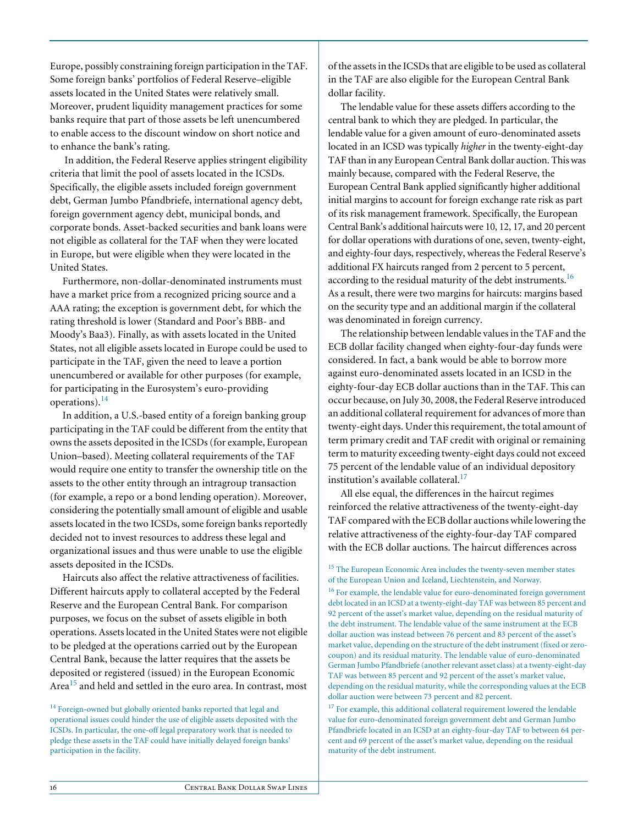Europe, possibly constraining foreign participation in the TAF. Some foreign banks' portfolios of Federal Reserve–eligible assets located in the United States were relatively small. Moreover, prudent liquidity management practices for some banks require that part of those assets be left unencumbered to enable access to the discount window on short notice and to enhance the bank's rating.

 In addition, the Federal Reserve applies stringent eligibility criteria that limit the pool of assets located in the ICSDs. Specifically, the eligible assets included foreign government debt, German Jumbo Pfandbriefe, international agency debt, foreign government agency debt, municipal bonds, and corporate bonds. Asset-backed securities and bank loans were not eligible as collateral for the TAF when they were located in Europe, but were eligible when they were located in the United States.

Furthermore, non-dollar-denominated instruments must have a market price from a recognized pricing source and a AAA rating; the exception is government debt, for which the rating threshold is lower (Standard and Poor's BBB- and Moody's Baa3). Finally, as with assets located in the United States, not all eligible assets located in Europe could be used to participate in the TAF, given the need to leave a portion unencumbered or available for other purposes (for example, for participating in the Eurosystem's euro-providing operations). $^{14}$ 

In addition, a U.S.-based entity of a foreign banking group participating in the TAF could be different from the entity that owns the assets deposited in the ICSDs (for example, European Union–based). Meeting collateral requirements of the TAF would require one entity to transfer the ownership title on the assets to the other entity through an intragroup transaction (for example, a repo or a bond lending operation). Moreover, considering the potentially small amount of eligible and usable assets located in the two ICSDs, some foreign banks reportedly decided not to invest resources to address these legal and organizational issues and thus were unable to use the eligible assets deposited in the ICSDs.

Haircuts also affect the relative attractiveness of facilities. Different haircuts apply to collateral accepted by the Federal Reserve and the European Central Bank. For comparison purposes, we focus on the subset of assets eligible in both operations. Assets located in the United States were not eligible to be pledged at the operations carried out by the European Central Bank, because the latter requires that the assets be deposited or registered (issued) in the European Economic Area<sup>15</sup> and held and settled in the euro area. In contrast, most

<sup>14</sup> Foreign-owned but globally oriented banks reported that legal and operational issues could hinder the use of eligible assets deposited with the ICSDs. In particular, the one-off legal preparatory work that is needed to pledge these assets in the TAF could have initially delayed foreign banks' participation in the facility.

of the assets in the ICSDs that are eligible to be used as collateral in the TAF are also eligible for the European Central Bank dollar facility.

The lendable value for these assets differs according to the central bank to which they are pledged. In particular, the lendable value for a given amount of euro-denominated assets located in an ICSD was typically *higher* in the twenty-eight-day TAF than in any European Central Bank dollar auction. This was mainly because, compared with the Federal Reserve, the European Central Bank applied significantly higher additional initial margins to account for foreign exchange rate risk as part of its risk management framework. Specifically, the European Central Bank's additional haircuts were 10, 12, 17, and 20 percent for dollar operations with durations of one, seven, twenty-eight, and eighty-four days, respectively, whereas the Federal Reserve's additional FX haircuts ranged from 2 percent to 5 percent, according to the residual maturity of the debt instruments.  $^{16}$ As a result, there were two margins for haircuts: margins based on the security type and an additional margin if the collateral was denominated in foreign currency.

The relationship between lendable values in the TAF and the ECB dollar facility changed when eighty-four-day funds were considered. In fact, a bank would be able to borrow more against euro-denominated assets located in an ICSD in the eighty-four-day ECB dollar auctions than in the TAF. This can occur because, on July 30, 2008, the Federal Reserve introduced an additional collateral requirement for advances of more than twenty-eight days. Under this requirement, the total amount of term primary credit and TAF credit with original or remaining term to maturity exceeding twenty-eight days could not exceed 75 percent of the lendable value of an individual depository institution's available collateral.<sup>17</sup>

All else equal, the differences in the haircut regimes reinforced the relative attractiveness of the twenty-eight-day TAF compared with the ECB dollar auctions while lowering the relative attractiveness of the eighty-four-day TAF compared with the ECB dollar auctions. The haircut differences across

<sup>16</sup> For example, the lendable value for euro-denominated foreign government debt located in an ICSD at a twenty-eight-day TAF was between 85 percent and 92 percent of the asset's market value, depending on the residual maturity of the debt instrument. The lendable value of the same instrument at the ECB dollar auction was instead between 76 percent and 83 percent of the asset's market value, depending on the structure of the debt instrument (fixed or zerocoupon) and its residual maturity. The lendable value of euro-denominated German Jumbo Pfandbriefe (another relevant asset class) at a twenty-eight-day TAF was between 85 percent and 92 percent of the asset's market value, depending on the residual maturity, while the corresponding values at the ECB dollar auction were between 73 percent and 82 percent.

<sup>17</sup> For example, this additional collateral requirement lowered the lendable value for euro-denominated foreign government debt and German Jumbo Pfandbriefe located in an ICSD at an eighty-four-day TAF to between 64 percent and 69 percent of the asset's market value, depending on the residual maturity of the debt instrument.

<sup>&</sup>lt;sup>15</sup> The European Economic Area includes the twenty-seven member states of the European Union and Iceland, Liechtenstein, and Norway.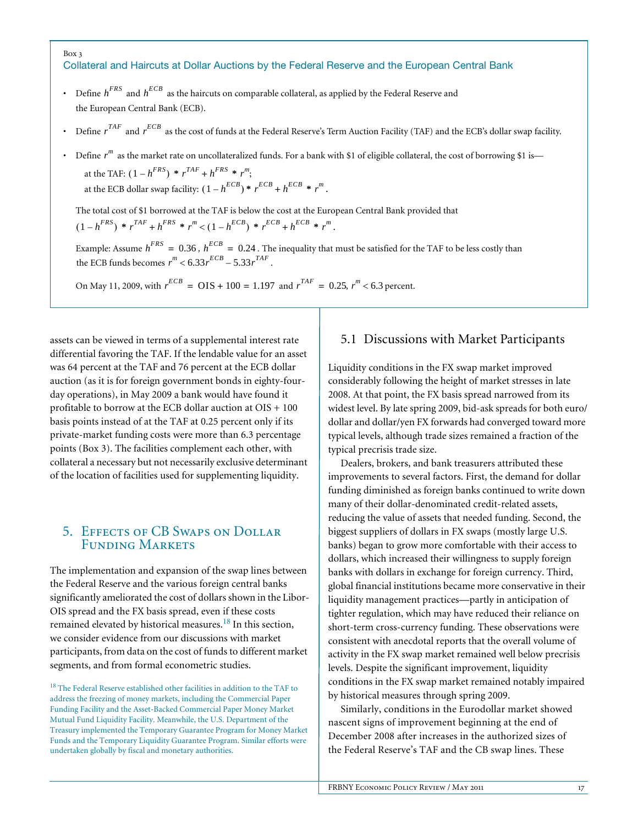#### Box 3 Collateral and Haircuts at Dollar Auctions by the Federal Reserve and the European Central Bank

- Define  $h^{FRS}$  and  $h^{ECB}$  as the haircuts on comparable collateral, as applied by the Federal Reserve and the European Central Bank (ECB).
- Define  $r^{TAF}$  and  $r^{ECB}$  as the cost of funds at the Federal Reserve's Term Auction Facility (TAF) and the ECB's dollar swap facility.
- Define  $r^m$  as the market rate on uncollateralized funds. For a bank with \$1 of eligible collateral, the cost of borrowing \$1 is—

at the TAF:  $(1 - h^{FRS}) * r^{TAF} + h^{FRS} * r^m$ ; at the ECB dollar swap facility:  $(1 - h^{ECB}) * r^{ECB} + h^{ECB} * r^m$ .

The total cost of \$1 borrowed at the TAF is below the cost at the European Central Bank provided that  $(1 - h^{FRS})$  \*  $r^{TAF} + h^{FRS}$  \*  $r^m < (1 - h^{ECB})$  \*  $r^{ECB} + h^{ECB}$  \*  $r^m$ .

Example: Assume  $h^{FRS} = 0.36$ ,  $h^{ECB} = 0.24$ . The inequality that must be satisfied for the TAF to be less costly than the ECB funds becomes  $r^m < 6.33 r^{ECB} - 5.33 r^{TAF}$ .

On May 11, 2009, with  $r^{ECB} = OIS + 100 = 1.197$  and  $r^{TAF} = 0.25$ ,  $r^{m} < 6.3$  percent.

assets can be viewed in terms of a supplemental interest rate differential favoring the TAF. If the lendable value for an asset was 64 percent at the TAF and 76 percent at the ECB dollar auction (as it is for foreign government bonds in eighty-fourday operations), in May 2009 a bank would have found it profitable to borrow at the ECB dollar auction at OIS + 100 basis points instead of at the TAF at 0.25 percent only if its private-market funding costs were more than 6.3 percentage points (Box 3). The facilities complement each other, with collateral a necessary but not necessarily exclusive determinant of the location of facilities used for supplementing liquidity.

## 5. Effects of CB Swaps on Dollar Funding Markets

The implementation and expansion of the swap lines between the Federal Reserve and the various foreign central banks significantly ameliorated the cost of dollars shown in the Libor-OIS spread and the FX basis spread, even if these costs remained elevated by historical measures.<sup>18</sup> In this section, we consider evidence from our discussions with market participants, from data on the cost of funds to different market segments, and from formal econometric studies.

<sup>18</sup> The Federal Reserve established other facilities in addition to the TAF to address the freezing of money markets, including the Commercial Paper Funding Facility and the Asset-Backed Commercial Paper Money Market Mutual Fund Liquidity Facility. Meanwhile, the U.S. Department of the Treasury implemented the Temporary Guarantee Program for Money Market Funds and the Temporary Liquidity Guarantee Program. Similar efforts were undertaken globally by fiscal and monetary authorities.

## 5.1 Discussions with Market Participants

Liquidity conditions in the FX swap market improved considerably following the height of market stresses in late 2008. At that point, the FX basis spread narrowed from its widest level. By late spring 2009, bid-ask spreads for both euro/ dollar and dollar/yen FX forwards had converged toward more typical levels, although trade sizes remained a fraction of the typical precrisis trade size.

Dealers, brokers, and bank treasurers attributed these improvements to several factors. First, the demand for dollar funding diminished as foreign banks continued to write down many of their dollar-denominated credit-related assets, reducing the value of assets that needed funding. Second, the biggest suppliers of dollars in FX swaps (mostly large U.S. banks) began to grow more comfortable with their access to dollars, which increased their willingness to supply foreign banks with dollars in exchange for foreign currency. Third, global financial institutions became more conservative in their liquidity management practices—partly in anticipation of tighter regulation, which may have reduced their reliance on short-term cross-currency funding. These observations were consistent with anecdotal reports that the overall volume of activity in the FX swap market remained well below precrisis levels. Despite the significant improvement, liquidity conditions in the FX swap market remained notably impaired by historical measures through spring 2009.

Similarly, conditions in the Eurodollar market showed nascent signs of improvement beginning at the end of December 2008 after increases in the authorized sizes of the Federal Reserve's TAF and the CB swap lines. These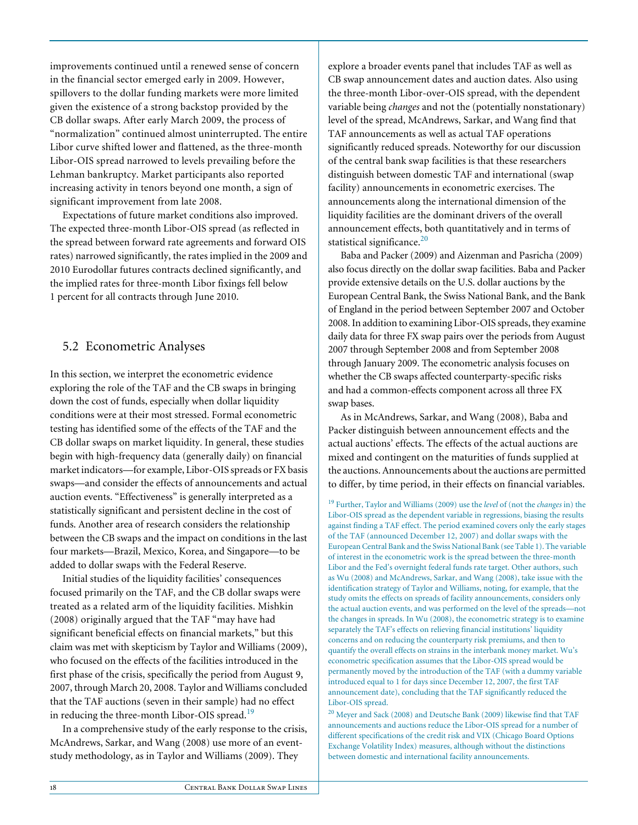improvements continued until a renewed sense of concern in the financial sector emerged early in 2009. However, spillovers to the dollar funding markets were more limited given the existence of a strong backstop provided by the CB dollar swaps. After early March 2009, the process of "normalization" continued almost uninterrupted. The entire Libor curve shifted lower and flattened, as the three-month Libor-OIS spread narrowed to levels prevailing before the Lehman bankruptcy. Market participants also reported increasing activity in tenors beyond one month, a sign of significant improvement from late 2008.

Expectations of future market conditions also improved. The expected three-month Libor-OIS spread (as reflected in the spread between forward rate agreements and forward OIS rates) narrowed significantly, the rates implied in the 2009 and 2010 Eurodollar futures contracts declined significantly, and the implied rates for three-month Libor fixings fell below 1 percent for all contracts through June 2010.

## 5.2 Econometric Analyses

In this section, we interpret the econometric evidence exploring the role of the TAF and the CB swaps in bringing down the cost of funds, especially when dollar liquidity conditions were at their most stressed. Formal econometric testing has identified some of the effects of the TAF and the CB dollar swaps on market liquidity. In general, these studies begin with high-frequency data (generally daily) on financial market indicators—for example, Libor-OIS spreads or FX basis swaps—and consider the effects of announcements and actual auction events. "Effectiveness" is generally interpreted as a statistically significant and persistent decline in the cost of funds. Another area of research considers the relationship between the CB swaps and the impact on conditions in the last four markets—Brazil, Mexico, Korea, and Singapore—to be added to dollar swaps with the Federal Reserve.

Initial studies of the liquidity facilities' consequences focused primarily on the TAF, and the CB dollar swaps were treated as a related arm of the liquidity facilities. Mishkin (2008) originally argued that the TAF "may have had significant beneficial effects on financial markets," but this claim was met with skepticism by Taylor and Williams (2009), who focused on the effects of the facilities introduced in the first phase of the crisis, specifically the period from August 9, 2007, through March 20, 2008. Taylor and Williams concluded that the TAF auctions (seven in their sample) had no effect in reducing the three-month Libor-OIS spread.<sup>19</sup>

In a comprehensive study of the early response to the crisis, McAndrews, Sarkar, and Wang (2008) use more of an eventstudy methodology, as in Taylor and Williams (2009). They

explore a broader events panel that includes TAF as well as CB swap announcement dates and auction dates. Also using the three-month Libor-over-OIS spread, with the dependent variable being *changes* and not the (potentially nonstationary) level of the spread, McAndrews, Sarkar, and Wang find that TAF announcements as well as actual TAF operations significantly reduced spreads. Noteworthy for our discussion of the central bank swap facilities is that these researchers distinguish between domestic TAF and international (swap facility) announcements in econometric exercises. The announcements along the international dimension of the liquidity facilities are the dominant drivers of the overall announcement effects, both quantitatively and in terms of statistical significance. $20$ 

Baba and Packer (2009) and Aizenman and Pasricha (2009) also focus directly on the dollar swap facilities. Baba and Packer provide extensive details on the U.S. dollar auctions by the European Central Bank, the Swiss National Bank, and the Bank of England in the period between September 2007 and October 2008. In addition to examining Libor-OIS spreads, they examine daily data for three FX swap pairs over the periods from August 2007 through September 2008 and from September 2008 through January 2009. The econometric analysis focuses on whether the CB swaps affected counterparty-specific risks and had a common-effects component across all three FX swap bases.

As in McAndrews, Sarkar, and Wang (2008), Baba and Packer distinguish between announcement effects and the actual auctions' effects. The effects of the actual auctions are mixed and contingent on the maturities of funds supplied at the auctions. Announcements about the auctions are permitted to differ, by time period, in their effects on financial variables.

19 Further, Taylor and Williams (2009) use the *level* of (not the *changes* in) the Libor-OIS spread as the dependent variable in regressions, biasing the results against finding a TAF effect. The period examined covers only the early stages of the TAF (announced December 12, 2007) and dollar swaps with the European Central Bank and the Swiss National Bank (see Table 1). The variable of interest in the econometric work is the spread between the three-month Libor and the Fed's overnight federal funds rate target. Other authors, such as Wu (2008) and McAndrews, Sarkar, and Wang (2008), take issue with the identification strategy of Taylor and Williams, noting, for example, that the study omits the effects on spreads of facility announcements, considers only the actual auction events, and was performed on the level of the spreads—not the changes in spreads. In Wu (2008), the econometric strategy is to examine separately the TAF's effects on relieving financial institutions' liquidity concerns and on reducing the counterparty risk premiums, and then to quantify the overall effects on strains in the interbank money market. Wu's econometric specification assumes that the Libor-OIS spread would be permanently moved by the introduction of the TAF (with a dummy variable introduced equal to 1 for days since December 12, 2007, the first TAF announcement date), concluding that the TAF significantly reduced the Libor-OIS spread.

 $^{20}$  Meyer and Sack (2008) and Deutsche Bank (2009) likewise find that TAF announcements and auctions reduce the Libor-OIS spread for a number of different specifications of the credit risk and VIX (Chicago Board Options Exchange Volatility Index) measures, although without the distinctions between domestic and international facility announcements.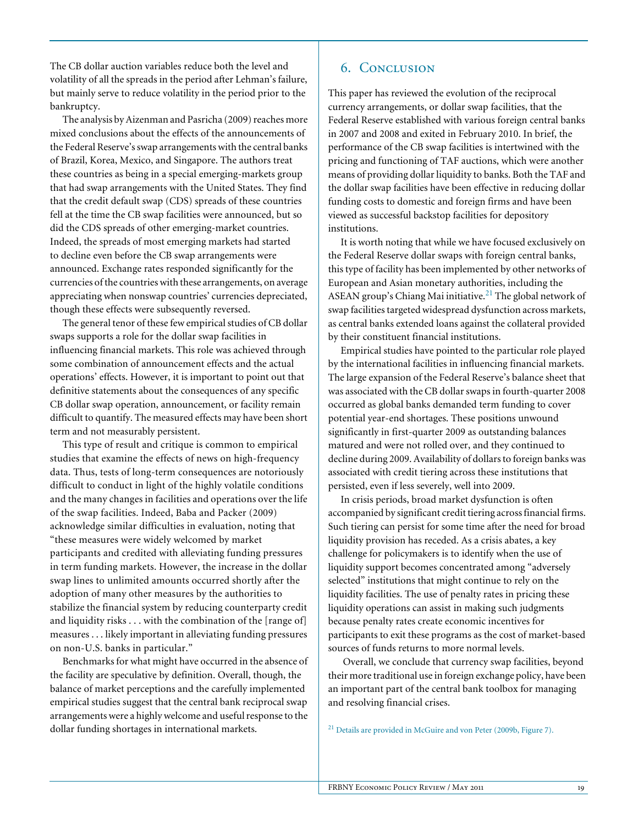The CB dollar auction variables reduce both the level and volatility of all the spreads in the period after Lehman's failure, but mainly serve to reduce volatility in the period prior to the bankruptcy.

The analysis by Aizenman and Pasricha (2009) reaches more mixed conclusions about the effects of the announcements of the Federal Reserve's swap arrangements with the central banks of Brazil, Korea, Mexico, and Singapore. The authors treat these countries as being in a special emerging-markets group that had swap arrangements with the United States. They find that the credit default swap (CDS) spreads of these countries fell at the time the CB swap facilities were announced, but so did the CDS spreads of other emerging-market countries. Indeed, the spreads of most emerging markets had started to decline even before the CB swap arrangements were announced. Exchange rates responded significantly for the currencies of the countries with these arrangements, on average appreciating when nonswap countries' currencies depreciated, though these effects were subsequently reversed.

The general tenor of these few empirical studies of CB dollar swaps supports a role for the dollar swap facilities in influencing financial markets. This role was achieved through some combination of announcement effects and the actual operations' effects. However, it is important to point out that definitive statements about the consequences of any specific CB dollar swap operation, announcement, or facility remain difficult to quantify. The measured effects may have been short term and not measurably persistent.

This type of result and critique is common to empirical studies that examine the effects of news on high-frequency data. Thus, tests of long-term consequences are notoriously difficult to conduct in light of the highly volatile conditions and the many changes in facilities and operations over the life of the swap facilities. Indeed, Baba and Packer (2009) acknowledge similar difficulties in evaluation, noting that "these measures were widely welcomed by market participants and credited with alleviating funding pressures in term funding markets. However, the increase in the dollar swap lines to unlimited amounts occurred shortly after the adoption of many other measures by the authorities to stabilize the financial system by reducing counterparty credit and liquidity risks . . . with the combination of the [range of] measures . . . likely important in alleviating funding pressures on non-U.S. banks in particular."

Benchmarks for what might have occurred in the absence of the facility are speculative by definition. Overall, though, the balance of market perceptions and the carefully implemented empirical studies suggest that the central bank reciprocal swap arrangements were a highly welcome and useful response to the dollar funding shortages in international markets.

## 6. Conclusion

This paper has reviewed the evolution of the reciprocal currency arrangements, or dollar swap facilities, that the Federal Reserve established with various foreign central banks in 2007 and 2008 and exited in February 2010. In brief, the performance of the CB swap facilities is intertwined with the pricing and functioning of TAF auctions, which were another means of providing dollar liquidity to banks. Both the TAF and the dollar swap facilities have been effective in reducing dollar funding costs to domestic and foreign firms and have been viewed as successful backstop facilities for depository institutions.

It is worth noting that while we have focused exclusively on the Federal Reserve dollar swaps with foreign central banks, this type of facility has been implemented by other networks of European and Asian monetary authorities, including the ASEAN group's Chiang Mai initiative.<sup>21</sup> The global network of swap facilities targeted widespread dysfunction across markets, as central banks extended loans against the collateral provided by their constituent financial institutions.

Empirical studies have pointed to the particular role played by the international facilities in influencing financial markets. The large expansion of the Federal Reserve's balance sheet that was associated with the CB dollar swaps in fourth-quarter 2008 occurred as global banks demanded term funding to cover potential year-end shortages. These positions unwound significantly in first-quarter 2009 as outstanding balances matured and were not rolled over, and they continued to decline during 2009. Availability of dollars to foreign banks was associated with credit tiering across these institutions that persisted, even if less severely, well into 2009.

In crisis periods, broad market dysfunction is often accompanied by significant credit tiering across financial firms. Such tiering can persist for some time after the need for broad liquidity provision has receded. As a crisis abates, a key challenge for policymakers is to identify when the use of liquidity support becomes concentrated among "adversely selected" institutions that might continue to rely on the liquidity facilities. The use of penalty rates in pricing these liquidity operations can assist in making such judgments because penalty rates create economic incentives for participants to exit these programs as the cost of market-based sources of funds returns to more normal levels.

 Overall, we conclude that currency swap facilities, beyond their more traditional use in foreign exchange policy, have been an important part of the central bank toolbox for managing and resolving financial crises.

21 Details are provided in McGuire and von Peter (2009b, Figure 7).